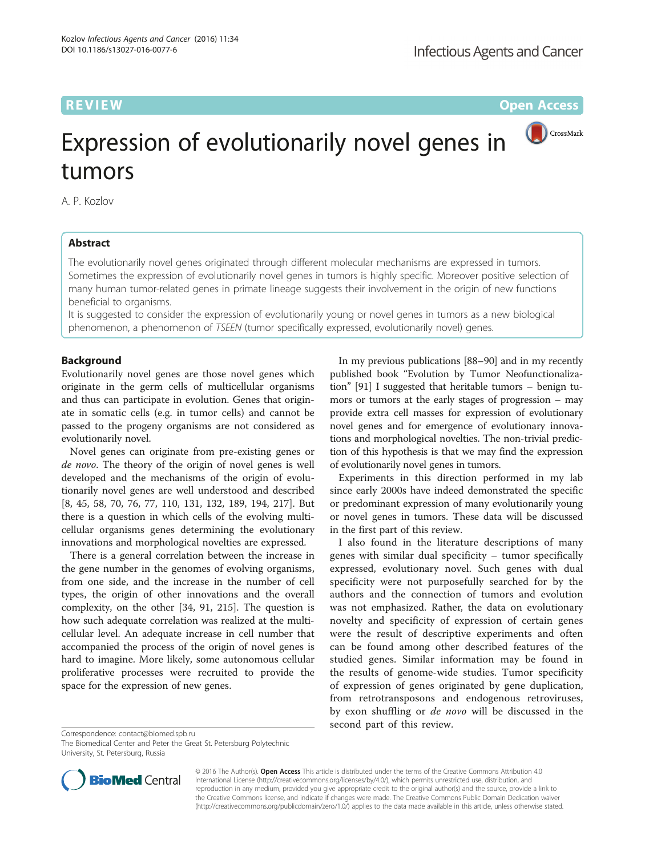**Infectious Agents and Cancer** 

**REVIEW CONTROL** CONTROL CONTROL CONTROL CONTROL CONTROL CONTROL CONTROL CONTROL CONTROL CONTROL CONTROL CONTROL CONTROL CONTROL CONTROL CONTROL CONTROL CONTROL CONTROL CONTROL CONTROL CONTROL CONTROL CONTROL CONTROL CONTR

CrossMark

# Expression of evolutionarily novel genes in tumors

A. P. Kozlov

# Abstract

The evolutionarily novel genes originated through different molecular mechanisms are expressed in tumors. Sometimes the expression of evolutionarily novel genes in tumors is highly specific. Moreover positive selection of many human tumor-related genes in primate lineage suggests their involvement in the origin of new functions beneficial to organisms.

It is suggested to consider the expression of evolutionarily young or novel genes in tumors as a new biological phenomenon, a phenomenon of TSEEN (tumor specifically expressed, evolutionarily novel) genes.

# Background

Evolutionarily novel genes are those novel genes which originate in the germ cells of multicellular organisms and thus can participate in evolution. Genes that originate in somatic cells (e.g. in tumor cells) and cannot be passed to the progeny organisms are not considered as evolutionarily novel.

Novel genes can originate from pre-existing genes or de novo. The theory of the origin of novel genes is well developed and the mechanisms of the origin of evolutionarily novel genes are well understood and described [[8,](#page-12-0) [45, 58](#page-13-0), [70, 76, 77](#page-14-0), [110,](#page-14-0) [131, 132](#page-15-0), [189, 194, 217](#page-16-0)]. But there is a question in which cells of the evolving multicellular organisms genes determining the evolutionary innovations and morphological novelties are expressed.

There is a general correlation between the increase in the gene number in the genomes of evolving organisms, from one side, and the increase in the number of cell types, the origin of other innovations and the overall complexity, on the other [\[34](#page-13-0), [91](#page-14-0), [215](#page-16-0)]. The question is how such adequate correlation was realized at the multicellular level. An adequate increase in cell number that accompanied the process of the origin of novel genes is hard to imagine. More likely, some autonomous cellular proliferative processes were recruited to provide the space for the expression of new genes.

In my previous publications [\[88](#page-14-0)–[90](#page-14-0)] and in my recently published book "Evolution by Tumor Neofunctionalization" [[91](#page-14-0)] I suggested that heritable tumors – benign tumors or tumors at the early stages of progression – may provide extra cell masses for expression of evolutionary novel genes and for emergence of evolutionary innovations and morphological novelties. The non-trivial prediction of this hypothesis is that we may find the expression of evolutionarily novel genes in tumors.

Experiments in this direction performed in my lab since early 2000s have indeed demonstrated the specific or predominant expression of many evolutionarily young or novel genes in tumors. These data will be discussed in the first part of this review.

I also found in the literature descriptions of many genes with similar dual specificity – tumor specifically expressed, evolutionary novel. Such genes with dual specificity were not purposefully searched for by the authors and the connection of tumors and evolution was not emphasized. Rather, the data on evolutionary novelty and specificity of expression of certain genes were the result of descriptive experiments and often can be found among other described features of the studied genes. Similar information may be found in the results of genome-wide studies. Tumor specificity of expression of genes originated by gene duplication, from retrotransposons and endogenous retroviruses, by exon shuffling or de novo will be discussed in the second part of this review.

Correspondence: [contact@biomed.spb.ru](mailto:contact@biomed.spb.ru)

The Biomedical Center and Peter the Great St. Petersburg Polytechnic University, St. Petersburg, Russia



© 2016 The Author(s). Open Access This article is distributed under the terms of the Creative Commons Attribution 4.0 International License [\(http://creativecommons.org/licenses/by/4.0/](http://creativecommons.org/licenses/by/4.0/)), which permits unrestricted use, distribution, and reproduction in any medium, provided you give appropriate credit to the original author(s) and the source, provide a link to the Creative Commons license, and indicate if changes were made. The Creative Commons Public Domain Dedication waiver [\(http://creativecommons.org/publicdomain/zero/1.0/](http://creativecommons.org/publicdomain/zero/1.0/)) applies to the data made available in this article, unless otherwise stated.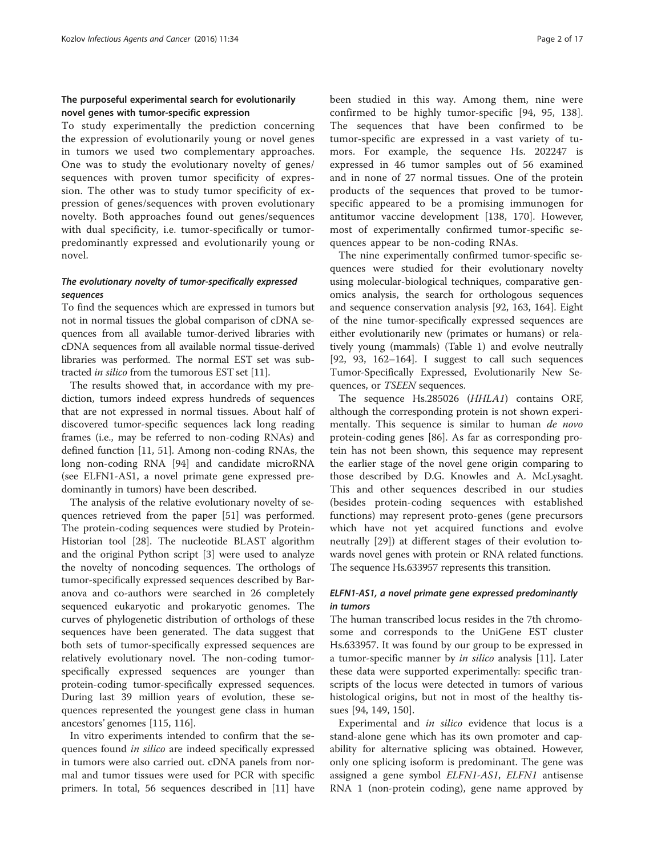# The purposeful experimental search for evolutionarily novel genes with tumor-specific expression

To study experimentally the prediction concerning the expression of evolutionarily young or novel genes in tumors we used two complementary approaches. One was to study the evolutionary novelty of genes/ sequences with proven tumor specificity of expression. The other was to study tumor specificity of expression of genes/sequences with proven evolutionary novelty. Both approaches found out genes/sequences with dual specificity, i.e. tumor-specifically or tumorpredominantly expressed and evolutionarily young or novel.

#### The evolutionary novelty of tumor-specifically expressed sequences

To find the sequences which are expressed in tumors but not in normal tissues the global comparison of cDNA sequences from all available tumor-derived libraries with cDNA sequences from all available normal tissue-derived libraries was performed. The normal EST set was subtracted in silico from the tumorous EST set [[11](#page-12-0)].

The results showed that, in accordance with my prediction, tumors indeed express hundreds of sequences that are not expressed in normal tissues. About half of discovered tumor-specific sequences lack long reading frames (i.e., may be referred to non-coding RNAs) and defined function [[11](#page-12-0), [51\]](#page-13-0). Among non-coding RNAs, the long non-coding RNA [\[94\]](#page-14-0) and candidate microRNA (see ELFN1-AS1, a novel primate gene expressed predominantly in tumors) have been described.

The analysis of the relative evolutionary novelty of sequences retrieved from the paper [\[51\]](#page-13-0) was performed. The protein-coding sequences were studied by Protein-Historian tool [\[28](#page-13-0)]. The nucleotide BLAST algorithm and the original Python script [\[3](#page-12-0)] were used to analyze the novelty of noncoding sequences. The orthologs of tumor-specifically expressed sequences described by Baranova and co-authors were searched in 26 completely sequenced eukaryotic and prokaryotic genomes. The curves of phylogenetic distribution of orthologs of these sequences have been generated. The data suggest that both sets of tumor-specifically expressed sequences are relatively evolutionary novel. The non-coding tumorspecifically expressed sequences are younger than protein-coding tumor-specifically expressed sequences. During last 39 million years of evolution, these sequences represented the youngest gene class in human ancestors' genomes [[115, 116\]](#page-14-0).

In vitro experiments intended to confirm that the sequences found *in silico* are indeed specifically expressed in tumors were also carried out. cDNA panels from normal and tumor tissues were used for PCR with specific primers. In total, 56 sequences described in [\[11\]](#page-12-0) have been studied in this way. Among them, nine were confirmed to be highly tumor-specific [[94](#page-14-0), [95](#page-14-0), [138](#page-15-0)]. The sequences that have been confirmed to be tumor-specific are expressed in a vast variety of tumors. For example, the sequence Hs. 202247 is expressed in 46 tumor samples out of 56 examined and in none of 27 normal tissues. One of the protein products of the sequences that proved to be tumorspecific appeared to be a promising immunogen for antitumor vaccine development [[138](#page-15-0), [170\]](#page-15-0). However, most of experimentally confirmed tumor-specific sequences appear to be non-coding RNAs.

The nine experimentally confirmed tumor-specific sequences were studied for their evolutionary novelty using molecular-biological techniques, comparative genomics analysis, the search for orthologous sequences and sequence conservation analysis [[92,](#page-14-0) [163](#page-15-0), [164](#page-15-0)]. Eight of the nine tumor-specifically expressed sequences are either evolutionarily new (primates or humans) or relatively young (mammals) (Table [1](#page-2-0)) and evolve neutrally [[92, 93,](#page-14-0) [162](#page-15-0)–[164\]](#page-15-0). I suggest to call such sequences Tumor-Specifically Expressed, Evolutionarily New Sequences, or TSEEN sequences.

The sequence Hs.285026 (HHLA1) contains ORF, although the corresponding protein is not shown experimentally. This sequence is similar to human de novo protein-coding genes [[86](#page-14-0)]. As far as corresponding protein has not been shown, this sequence may represent the earlier stage of the novel gene origin comparing to those described by D.G. Knowles and A. McLysaght. This and other sequences described in our studies (besides protein-coding sequences with established functions) may represent proto-genes (gene precursors which have not yet acquired functions and evolve neutrally [[29\]](#page-13-0)) at different stages of their evolution towards novel genes with protein or RNA related functions. The sequence Hs.633957 represents this transition.

# ELFN1-AS1, a novel primate gene expressed predominantly in tumors

The human transcribed locus resides in the 7th chromosome and corresponds to the UniGene EST cluster Hs.633957. It was found by our group to be expressed in a tumor-specific manner by *in silico* analysis [\[11](#page-12-0)]. Later these data were supported experimentally: specific transcripts of the locus were detected in tumors of various histological origins, but not in most of the healthy tissues [\[94,](#page-14-0) [149, 150\]](#page-15-0).

Experimental and *in silico* evidence that locus is a stand-alone gene which has its own promoter and capability for alternative splicing was obtained. However, only one splicing isoform is predominant. The gene was assigned a gene symbol ELFN1-AS1, ELFN1 antisense RNA 1 (non-protein coding), gene name approved by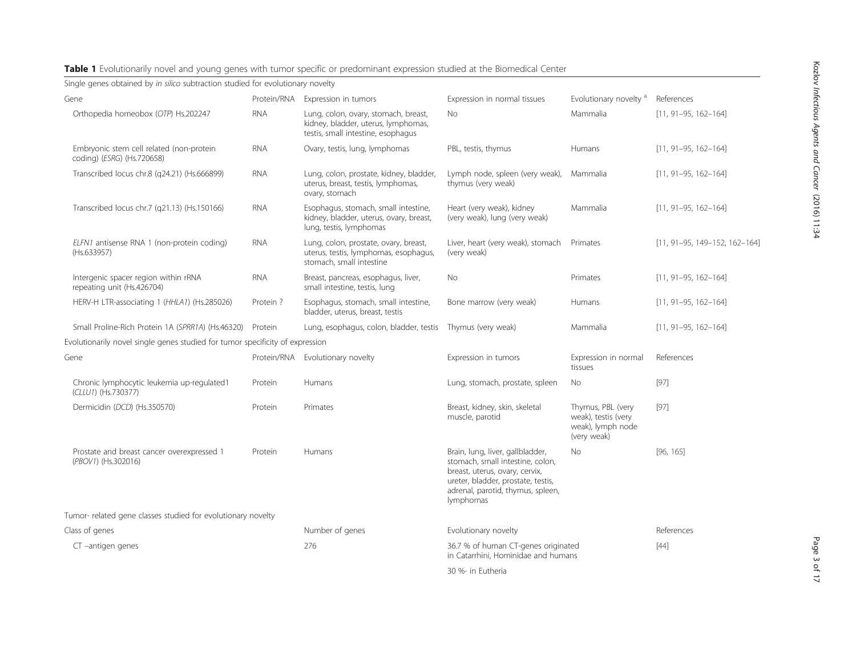| Single genes obtained by in silico subtraction studied for evolutionary novelty |             |                                                                                                                   |                                                                                                                                                                                                |                                                                              |                                       |
|---------------------------------------------------------------------------------|-------------|-------------------------------------------------------------------------------------------------------------------|------------------------------------------------------------------------------------------------------------------------------------------------------------------------------------------------|------------------------------------------------------------------------------|---------------------------------------|
| Gene                                                                            | Protein/RNA | Expression in tumors                                                                                              | Expression in normal tissues                                                                                                                                                                   | Evolutionary novelty <sup>a</sup>                                            | References                            |
| Orthopedia homeobox (OTP) Hs.202247                                             | <b>RNA</b>  | Lung, colon, ovary, stomach, breast,<br>kidney, bladder, uterus, lymphomas,<br>testis, small intestine, esophagus | No                                                                                                                                                                                             | Mammalia                                                                     | $[11, 91 - 95, 162 - 164]$            |
| Embryonic stem cell related (non-protein<br>coding) (ESRG) (Hs.720658)          | <b>RNA</b>  | Ovary, testis, lung, lymphomas                                                                                    | PBL, testis, thymus                                                                                                                                                                            | Humans                                                                       | $[11, 91-95, 162-164]$                |
| Transcribed locus chr.8 (q24.21) (Hs.666899)                                    | <b>RNA</b>  | Lung, colon, prostate, kidney, bladder,<br>uterus, breast, testis, lymphomas,<br>ovary, stomach                   | Lymph node, spleen (very weak),<br>thymus (very weak)                                                                                                                                          | Mammalia                                                                     | $[11, 91 - 95, 162 - 164]$            |
| Transcribed locus chr.7 (q21.13) (Hs.150166)                                    | <b>RNA</b>  | Esophagus, stomach, small intestine,<br>kidney, bladder, uterus, ovary, breast,<br>lung, testis, lymphomas        | Heart (very weak), kidney<br>(very weak), lung (very weak)                                                                                                                                     | Mammalia                                                                     | $[11, 91 - 95, 162 - 164]$            |
| ELFN1 antisense RNA 1 (non-protein coding)<br>(Hs.633957)                       | <b>RNA</b>  | Lung, colon, prostate, ovary, breast,<br>uterus, testis, lymphomas, esophagus,<br>stomach, small intestine        | Liver, heart (very weak), stomach<br>(very weak)                                                                                                                                               | Primates                                                                     | $[11, 91 - 95, 149 - 152, 162 - 164]$ |
| Intergenic spacer region within rRNA<br>repeating unit (Hs.426704)              | <b>RNA</b>  | Breast, pancreas, esophagus, liver,<br>small intestine, testis, lung                                              | No                                                                                                                                                                                             | Primates                                                                     | $[11, 91 - 95, 162 - 164]$            |
| HERV-H LTR-associating 1 (HHLA1) (Hs.285026)                                    | Protein?    | Esophagus, stomach, small intestine,<br>bladder, uterus, breast, testis                                           | Bone marrow (very weak)                                                                                                                                                                        | Humans                                                                       | $[11, 91-95, 162-164]$                |
| Small Proline-Rich Protein 1A (SPRR1A) (Hs.46320)                               | Protein     | Lung, esophagus, colon, bladder, testis                                                                           | Thymus (very weak)                                                                                                                                                                             | Mammalia                                                                     | $[11, 91-95, 162-164]$                |
| Evolutionarily novel single genes studied for tumor specificity of expression   |             |                                                                                                                   |                                                                                                                                                                                                |                                                                              |                                       |
| Gene                                                                            |             | Protein/RNA Evolutionary novelty                                                                                  | Expression in tumors                                                                                                                                                                           | Expression in normal<br>tissues                                              | References                            |
| Chronic lymphocytic leukemia up-regulated1<br>(CLLU1) (Hs.730377)               | Protein     | Humans                                                                                                            | Lung, stomach, prostate, spleen                                                                                                                                                                | <b>No</b>                                                                    | $[97]$                                |
| Dermicidin (DCD) (Hs.350570)                                                    | Protein     | Primates                                                                                                          | Breast, kidney, skin, skeletal<br>muscle, parotid                                                                                                                                              | Thymus, PBL (very<br>weak), testis (very<br>weak), lymph node<br>(very weak) | $[97]$                                |
| Prostate and breast cancer overexpressed 1<br>(PBOV1) (Hs.302016)               | Protein     | Humans                                                                                                            | Brain, lung, liver, gallbladder,<br>stomach, small intestine, colon,<br>breast, uterus, ovary, cervix,<br>ureter, bladder, prostate, testis,<br>adrenal, parotid, thymus, spleen,<br>lymphomas | No                                                                           | [96, 165]                             |
| Tumor- related gene classes studied for evolutionary novelty                    |             |                                                                                                                   |                                                                                                                                                                                                |                                                                              |                                       |
| Class of genes                                                                  |             | Number of genes                                                                                                   | Evolutionary novelty                                                                                                                                                                           |                                                                              | References                            |
| CT-antigen genes                                                                |             | 276                                                                                                               | 36.7 % of human CT-genes originated<br>in Catarrhini, Hominidae and humans                                                                                                                     |                                                                              | $[44]$                                |
|                                                                                 |             |                                                                                                                   | 30 %- in Eutheria                                                                                                                                                                              |                                                                              |                                       |

# <span id="page-2-0"></span>Table 1 Evolutionarily novel and young genes with tumor specific or predominant expression studied at the Biomedical Center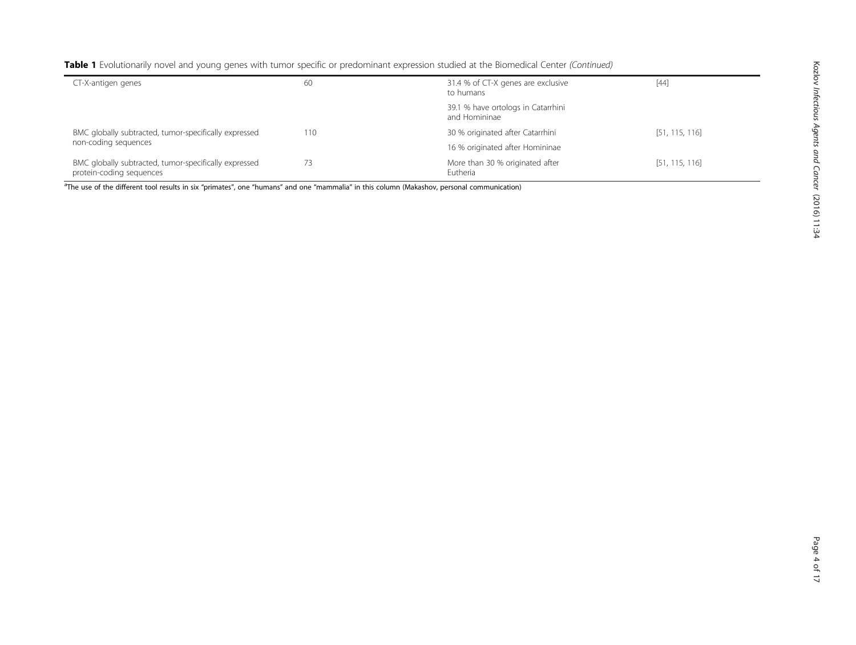| Table 1 Evolutionarily novel and young genes with tumor specific or predominant expression studied at the Biomedical Center (Continued) |  |
|-----------------------------------------------------------------------------------------------------------------------------------------|--|
|-----------------------------------------------------------------------------------------------------------------------------------------|--|

| CT-X-antigen genes                                                                | 60  | 31.4 % of CT-X genes are exclusive<br>to humans     | $[44]$         |
|-----------------------------------------------------------------------------------|-----|-----------------------------------------------------|----------------|
|                                                                                   |     | 39.1 % have ortologs in Catarrhini<br>and Homininae |                |
| BMC globally subtracted, tumor-specifically expressed                             | 110 | 30 % originated after Catarrhini                    | [51, 115, 116] |
| non-coding sequences                                                              |     | 16 % originated after Homininae                     |                |
| BMC globally subtracted, tumor-specifically expressed<br>protein-coding sequences |     | More than 30 % originated after<br>Eutheria         | [51, 115, 116] |

a The use of the different tool results in six "primates", one "humans" and one "mammalia" in this column (Makashov, personal communication)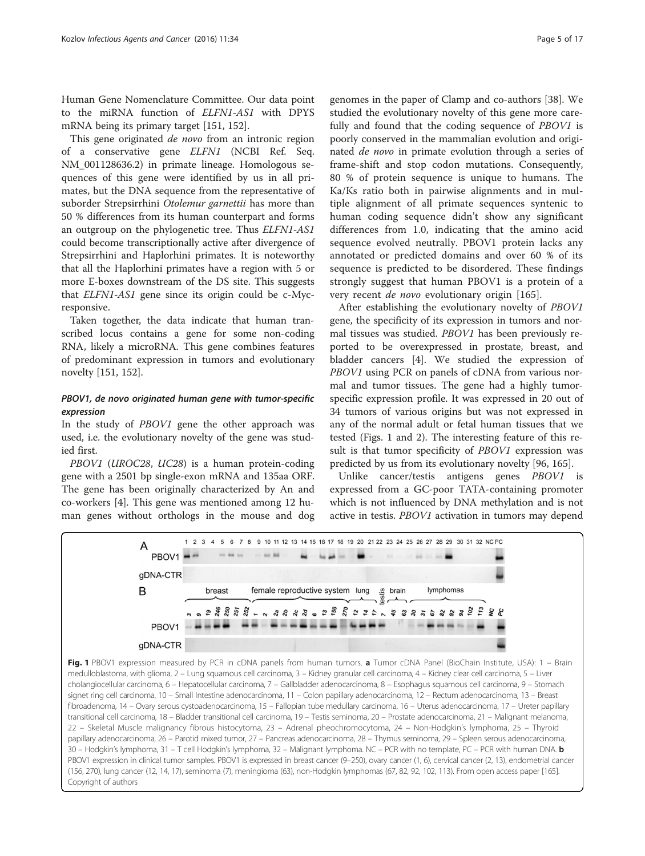Human Gene Nomenclature Committee. Our data point to the miRNA function of ELFN1-AS1 with DPYS mRNA being its primary target [[151](#page-15-0), [152](#page-15-0)].

This gene originated *de novo* from an intronic region of a conservative gene ELFN1 (NCBI Ref. Seq. NM\_001128636.2) in primate lineage. Homologous sequences of this gene were identified by us in all primates, but the DNA sequence from the representative of suborder Strepsirrhini Otolemur garnettii has more than 50 % differences from its human counterpart and forms an outgroup on the phylogenetic tree. Thus ELFN1-AS1 could become transcriptionally active after divergence of Strepsirrhini and Haplorhini primates. It is noteworthy that all the Haplorhini primates have a region with 5 or more E-boxes downstream of the DS site. This suggests that ELFN1-AS1 gene since its origin could be c-Mycresponsive.

Taken together, the data indicate that human transcribed locus contains a gene for some non-coding RNA, likely a microRNA. This gene combines features of predominant expression in tumors and evolutionary novelty [\[151](#page-15-0), [152\]](#page-15-0).

#### PBOV1, de novo originated human gene with tumor-specific expression

In the study of PBOV1 gene the other approach was used, i.e. the evolutionary novelty of the gene was studied first.

PBOV1 (UROC28, UC28) is a human protein-coding gene with a 2501 bp single-exon mRNA and 135aa ORF. The gene has been originally characterized by An and co-workers [[4\]](#page-12-0). This gene was mentioned among 12 human genes without orthologs in the mouse and dog

genomes in the paper of Clamp and co-authors [\[38\]](#page-13-0). We studied the evolutionary novelty of this gene more carefully and found that the coding sequence of PBOV1 is poorly conserved in the mammalian evolution and originated de novo in primate evolution through a series of frame-shift and stop codon mutations. Consequently, 80 % of protein sequence is unique to humans. The Ka/Ks ratio both in pairwise alignments and in multiple alignment of all primate sequences syntenic to human coding sequence didn't show any significant differences from 1.0, indicating that the amino acid sequence evolved neutrally. PBOV1 protein lacks any annotated or predicted domains and over 60 % of its sequence is predicted to be disordered. These findings strongly suggest that human PBOV1 is a protein of a very recent de novo evolutionary origin [\[165](#page-15-0)].

After establishing the evolutionary novelty of PBOV1 gene, the specificity of its expression in tumors and normal tissues was studied. PBOV1 has been previously reported to be overexpressed in prostate, breast, and bladder cancers [[4\]](#page-12-0). We studied the expression of PBOV1 using PCR on panels of cDNA from various normal and tumor tissues. The gene had a highly tumorspecific expression profile. It was expressed in 20 out of 34 tumors of various origins but was not expressed in any of the normal adult or fetal human tissues that we tested (Figs. 1 and [2\)](#page-5-0). The interesting feature of this result is that tumor specificity of PBOV1 expression was predicted by us from its evolutionary novelty [\[96,](#page-14-0) [165\]](#page-15-0).

Unlike cancer/testis antigens genes PBOV1 is expressed from a GC-poor TATA-containing promoter which is not influenced by DNA methylation and is not active in testis. PBOV1 activation in tumors may depend



cholangiocellular carcinoma, 6 – Hepatocellular carcinoma, 7 – Gallbladder adenocarcinoma, 8 – Esophagus squamous cell carcinoma, 9 – Stomach signet ring cell carcinoma, 10 – Small Intestine adenocarcinoma, 11 – Colon papillary adenocarcinoma, 12 – Rectum adenocarcinoma, 13 – Breast fibroadenoma, 14 – Ovary serous cystoadenocarcinoma, 15 – Fallopian tube medullary carcinoma, 16 – Uterus adenocarcinoma, 17 – Ureter papillary transitional cell carcinoma, 18 – Bladder transitional cell carcinoma, 19 – Testis seminoma, 20 – Prostate adenocarcinoma, 21 – Malignant melanoma, 22 – Skeletal Muscle malignancy fibrous histocytoma, 23 – Adrenal pheochromocytoma, 24 – Non-Hodgkin's lymphoma, 25 – Thyroid papillary adenocarcinoma, 26 – Parotid mixed tumor, 27 – Pancreas adenocarcinoma, 28 – Thymus seminoma, 29 – Spleen serous adenocarcinoma, 30 – Hodgkin's lymphoma, 31 – T cell Hodgkin's lymphoma, 32 – Malignant lymphoma. NC – PCR with no template, PC – PCR with human DNA. b PBOV1 expression in clinical tumor samples. PBOV1 is expressed in breast cancer (9-250), ovary cancer (1, 6), cervical cancer (2, 13), endometrial cancer (156, 270), lung cancer (12, 14, 17), seminoma (7), meningioma (63), non-Hodgkin lymphomas (67, 82, 92, 102, 113). From open access paper [\[165\]](#page-15-0). Copyright of authors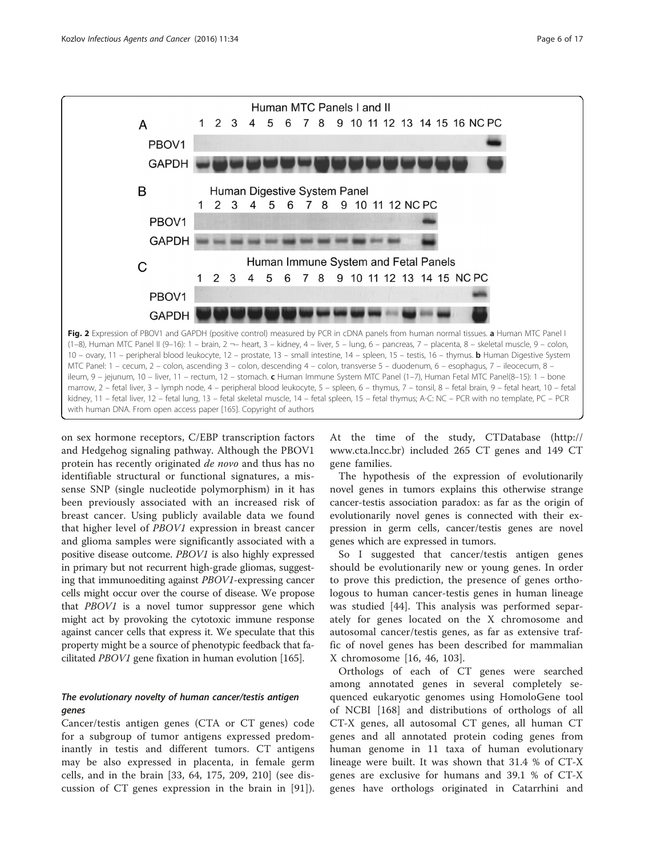<span id="page-5-0"></span>

on sex hormone receptors, C/EBP transcription factors and Hedgehog signaling pathway. Although the PBOV1 protein has recently originated de novo and thus has no identifiable structural or functional signatures, a missense SNP (single nucleotide polymorphism) in it has been previously associated with an increased risk of breast cancer. Using publicly available data we found that higher level of PBOV1 expression in breast cancer and glioma samples were significantly associated with a positive disease outcome. PBOV1 is also highly expressed in primary but not recurrent high-grade gliomas, suggesting that immunoediting against PBOV1-expressing cancer cells might occur over the course of disease. We propose that PBOV1 is a novel tumor suppressor gene which might act by provoking the cytotoxic immune response against cancer cells that express it. We speculate that this property might be a source of phenotypic feedback that facilitated PBOV1 gene fixation in human evolution [[165](#page-15-0)].

# The evolutionary novelty of human cancer/testis antigen genes

Cancer/testis antigen genes (CTA or CT genes) code for a subgroup of tumor antigens expressed predominantly in testis and different tumors. CT antigens may be also expressed in placenta, in female germ cells, and in the brain [\[33](#page-13-0), [64](#page-13-0), [175,](#page-15-0) [209, 210\]](#page-16-0) (see discussion of CT genes expression in the brain in [[91\]](#page-14-0)). At the time of the study, CTDatabase ([http://](http://www.cta.lncc.br/) [www.cta.lncc.br\)](http://www.cta.lncc.br/) included 265 CT genes and 149 CT gene families.

The hypothesis of the expression of evolutionarily novel genes in tumors explains this otherwise strange cancer-testis association paradox: as far as the origin of evolutionarily novel genes is connected with their expression in germ cells, cancer/testis genes are novel genes which are expressed in tumors.

So I suggested that cancer/testis antigen genes should be evolutionarily new or young genes. In order to prove this prediction, the presence of genes orthologous to human cancer-testis genes in human lineage was studied [[44\]](#page-13-0). This analysis was performed separately for genes located on the X chromosome and autosomal cancer/testis genes, as far as extensive traffic of novel genes has been described for mammalian X chromosome [[16,](#page-12-0) [46,](#page-13-0) [103](#page-14-0)].

Orthologs of each of CT genes were searched among annotated genes in several completely sequenced eukaryotic genomes using HomoloGene tool of NCBI [[168\]](#page-15-0) and distributions of orthologs of all CT-X genes, all autosomal CT genes, all human CT genes and all annotated protein coding genes from human genome in 11 taxa of human evolutionary lineage were built. It was shown that 31.4 % of CT-X genes are exclusive for humans and 39.1 % of CT-X genes have orthologs originated in Catarrhini and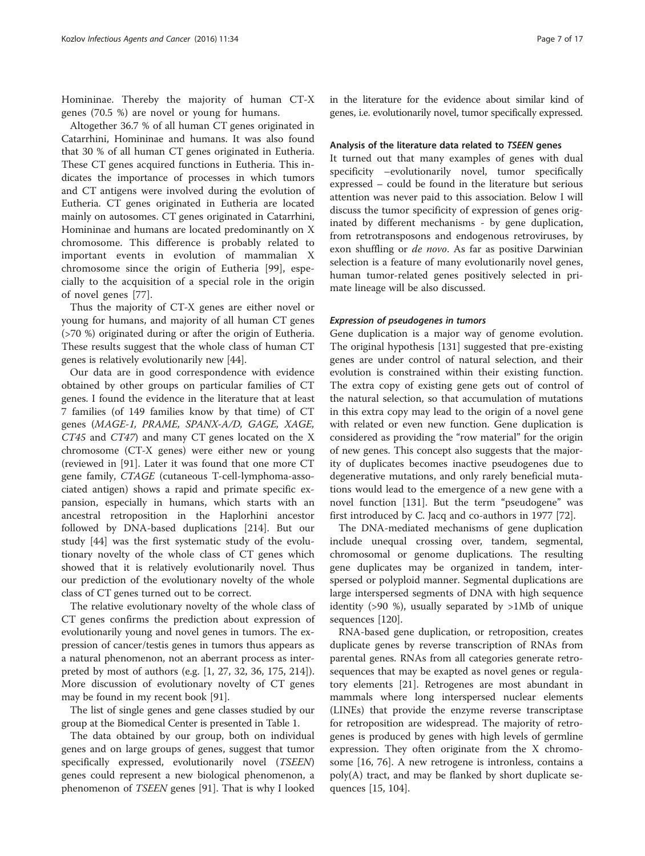Homininae. Thereby the majority of human CT-X genes (70.5 %) are novel or young for humans.

Altogether 36.7 % of all human CT genes originated in Catarrhini, Homininae and humans. It was also found that 30 % of all human CT genes originated in Eutheria. These CT genes acquired functions in Eutheria. This indicates the importance of processes in which tumors and CT antigens were involved during the evolution of Eutheria. CT genes originated in Eutheria are located mainly on autosomes. CT genes originated in Catarrhini, Homininae and humans are located predominantly on X chromosome. This difference is probably related to important events in evolution of mammalian X chromosome since the origin of Eutheria [[99\]](#page-14-0), especially to the acquisition of a special role in the origin of novel genes [\[77](#page-14-0)].

Thus the majority of CT-X genes are either novel or young for humans, and majority of all human CT genes (>70 %) originated during or after the origin of Eutheria. These results suggest that the whole class of human CT genes is relatively evolutionarily new [[44\]](#page-13-0).

Our data are in good correspondence with evidence obtained by other groups on particular families of CT genes. I found the evidence in the literature that at least 7 families (of 149 families know by that time) of CT genes (MAGE-1, PRAME, SPANX-A/D, GAGE, XAGE, CT45 and CT47) and many CT genes located on the X chromosome (CT-X genes) were either new or young (reviewed in [\[91](#page-14-0)]. Later it was found that one more CT gene family, CTAGE (cutaneous T-cell-lymphoma-associated antigen) shows a rapid and primate specific expansion, especially in humans, which starts with an ancestral retroposition in the Haplorhini ancestor followed by DNA-based duplications [[214](#page-16-0)]. But our study [\[44](#page-13-0)] was the first systematic study of the evolutionary novelty of the whole class of CT genes which showed that it is relatively evolutionarily novel. Thus our prediction of the evolutionary novelty of the whole class of CT genes turned out to be correct.

The relative evolutionary novelty of the whole class of CT genes confirms the prediction about expression of evolutionarily young and novel genes in tumors. The expression of cancer/testis genes in tumors thus appears as a natural phenomenon, not an aberrant process as interpreted by most of authors (e.g. [[1,](#page-12-0) [27](#page-13-0), [32](#page-13-0), [36,](#page-13-0) [175,](#page-15-0) [214\]](#page-16-0)). More discussion of evolutionary novelty of CT genes may be found in my recent book [\[91\]](#page-14-0).

The list of single genes and gene classes studied by our group at the Biomedical Center is presented in Table [1.](#page-2-0)

The data obtained by our group, both on individual genes and on large groups of genes, suggest that tumor specifically expressed, evolutionarily novel (TSEEN) genes could represent a new biological phenomenon, a phenomenon of TSEEN genes [[91](#page-14-0)]. That is why I looked in the literature for the evidence about similar kind of genes, i.e. evolutionarily novel, tumor specifically expressed.

#### Analysis of the literature data related to TSEEN genes

It turned out that many examples of genes with dual specificity –evolutionarily novel, tumor specifically expressed – could be found in the literature but serious attention was never paid to this association. Below I will discuss the tumor specificity of expression of genes originated by different mechanisms - by gene duplication, from retrotransposons and endogenous retroviruses, by exon shuffling or de novo. As far as positive Darwinian selection is a feature of many evolutionarily novel genes, human tumor-related genes positively selected in primate lineage will be also discussed.

#### Expression of pseudogenes in tumors

Gene duplication is a major way of genome evolution. The original hypothesis [[131](#page-15-0)] suggested that pre-existing genes are under control of natural selection, and their evolution is constrained within their existing function. The extra copy of existing gene gets out of control of the natural selection, so that accumulation of mutations in this extra copy may lead to the origin of a novel gene with related or even new function. Gene duplication is considered as providing the "row material" for the origin of new genes. This concept also suggests that the majority of duplicates becomes inactive pseudogenes due to degenerative mutations, and only rarely beneficial mutations would lead to the emergence of a new gene with a novel function [[131\]](#page-15-0). But the term "pseudogene" was first introduced by C. Jacq and co-authors in 1977 [[72\]](#page-14-0).

The DNA-mediated mechanisms of gene duplication include unequal crossing over, tandem, segmental, chromosomal or genome duplications. The resulting gene duplicates may be organized in tandem, interspersed or polyploid manner. Segmental duplications are large interspersed segments of DNA with high sequence identity (>90 %), usually separated by >1Mb of unique sequences [[120\]](#page-14-0).

RNA-based gene duplication, or retroposition, creates duplicate genes by reverse transcription of RNAs from parental genes. RNAs from all categories generate retrosequences that may be exapted as novel genes or regulatory elements [[21](#page-13-0)]. Retrogenes are most abundant in mammals where long interspersed nuclear elements (LINEs) that provide the enzyme reverse transcriptase for retroposition are widespread. The majority of retrogenes is produced by genes with high levels of germline expression. They often originate from the X chromosome [[16,](#page-12-0) [76](#page-14-0)]. A new retrogene is intronless, contains a poly(A) tract, and may be flanked by short duplicate sequences [[15,](#page-12-0) [104](#page-14-0)].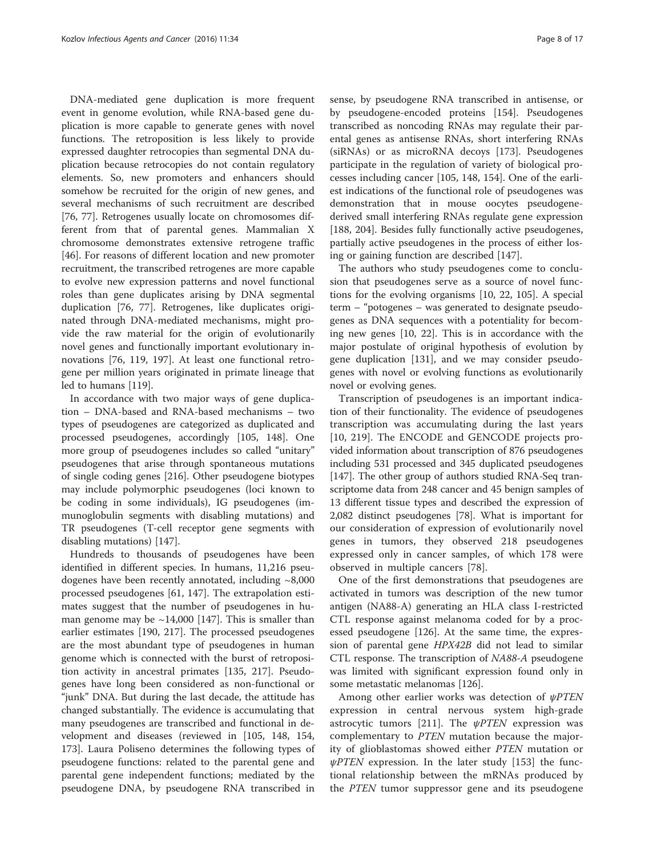DNA-mediated gene duplication is more frequent event in genome evolution, while RNA-based gene duplication is more capable to generate genes with novel functions. The retroposition is less likely to provide expressed daughter retrocopies than segmental DNA duplication because retrocopies do not contain regulatory elements. So, new promoters and enhancers should somehow be recruited for the origin of new genes, and several mechanisms of such recruitment are described [[76, 77](#page-14-0)]. Retrogenes usually locate on chromosomes different from that of parental genes. Mammalian X chromosome demonstrates extensive retrogene traffic [[46\]](#page-13-0). For reasons of different location and new promoter recruitment, the transcribed retrogenes are more capable to evolve new expression patterns and novel functional roles than gene duplicates arising by DNA segmental duplication [\[76](#page-14-0), [77](#page-14-0)]. Retrogenes, like duplicates originated through DNA-mediated mechanisms, might provide the raw material for the origin of evolutionarily novel genes and functionally important evolutionary innovations [[76](#page-14-0), [119,](#page-14-0) [197\]](#page-16-0). At least one functional retrogene per million years originated in primate lineage that led to humans [[119](#page-14-0)].

In accordance with two major ways of gene duplication – DNA-based and RNA-based mechanisms – two types of pseudogenes are categorized as duplicated and processed pseudogenes, accordingly [[105,](#page-14-0) [148\]](#page-15-0). One more group of pseudogenes includes so called "unitary" pseudogenes that arise through spontaneous mutations of single coding genes [[216](#page-16-0)]. Other pseudogene biotypes may include polymorphic pseudogenes (loci known to be coding in some individuals), IG pseudogenes (immunoglobulin segments with disabling mutations) and TR pseudogenes (T-cell receptor gene segments with disabling mutations) [\[147](#page-15-0)].

Hundreds to thousands of pseudogenes have been identified in different species. In humans, 11,216 pseudogenes have been recently annotated, including ~8,000 processed pseudogenes [[61,](#page-13-0) [147\]](#page-15-0). The extrapolation estimates suggest that the number of pseudogenes in human genome may be  $\sim$ 14,000 [\[147](#page-15-0)]. This is smaller than earlier estimates [[190, 217](#page-16-0)]. The processed pseudogenes are the most abundant type of pseudogenes in human genome which is connected with the burst of retroposition activity in ancestral primates [[135](#page-15-0), [217](#page-16-0)]. Pseudogenes have long been considered as non-functional or "junk" DNA. But during the last decade, the attitude has changed substantially. The evidence is accumulating that many pseudogenes are transcribed and functional in development and diseases (reviewed in [[105,](#page-14-0) [148](#page-15-0), [154](#page-15-0), [173](#page-15-0)]. Laura Poliseno determines the following types of pseudogene functions: related to the parental gene and parental gene independent functions; mediated by the pseudogene DNA, by pseudogene RNA transcribed in sense, by pseudogene RNA transcribed in antisense, or by pseudogene-encoded proteins [\[154\]](#page-15-0). Pseudogenes transcribed as noncoding RNAs may regulate their parental genes as antisense RNAs, short interfering RNAs (siRNAs) or as microRNA decoys [\[173\]](#page-15-0). Pseudogenes participate in the regulation of variety of biological processes including cancer [[105](#page-14-0), [148](#page-15-0), [154](#page-15-0)]. One of the earliest indications of the functional role of pseudogenes was demonstration that in mouse oocytes pseudogenederived small interfering RNAs regulate gene expression [[188, 204\]](#page-16-0). Besides fully functionally active pseudogenes, partially active pseudogenes in the process of either losing or gaining function are described [\[147](#page-15-0)].

The authors who study pseudogenes come to conclusion that pseudogenes serve as a source of novel functions for the evolving organisms [[10,](#page-12-0) [22](#page-13-0), [105\]](#page-14-0). A special term – "potogenes – was generated to designate pseudogenes as DNA sequences with a potentiality for becoming new genes [[10,](#page-12-0) [22\]](#page-13-0). This is in accordance with the major postulate of original hypothesis of evolution by gene duplication [[131\]](#page-15-0), and we may consider pseudogenes with novel or evolving functions as evolutionarily novel or evolving genes.

Transcription of pseudogenes is an important indication of their functionality. The evidence of pseudogenes transcription was accumulating during the last years [[10,](#page-12-0) [219](#page-16-0)]. The ENCODE and GENCODE projects provided information about transcription of 876 pseudogenes including 531 processed and 345 duplicated pseudogenes [[147](#page-15-0)]. The other group of authors studied RNA-Seq transcriptome data from 248 cancer and 45 benign samples of 13 different tissue types and described the expression of 2,082 distinct pseudogenes [\[78\]](#page-14-0). What is important for our consideration of expression of evolutionarily novel genes in tumors, they observed 218 pseudogenes expressed only in cancer samples, of which 178 were observed in multiple cancers [[78\]](#page-14-0).

One of the first demonstrations that pseudogenes are activated in tumors was description of the new tumor antigen (NA88-A) generating an HLA class I-restricted CTL response against melanoma coded for by a processed pseudogene [[126\]](#page-15-0). At the same time, the expression of parental gene HPX42B did not lead to similar CTL response. The transcription of NA88-A pseudogene was limited with significant expression found only in some metastatic melanomas [\[126](#page-15-0)].

Among other earlier works was detection of  $\psi$ PTEN expression in central nervous system high-grade astrocytic tumors [[211](#page-16-0)]. The  $\psi$ PTEN expression was complementary to PTEN mutation because the majority of glioblastomas showed either PTEN mutation or  $\psi$ PTEN expression. In the later study [[153](#page-15-0)] the functional relationship between the mRNAs produced by the PTEN tumor suppressor gene and its pseudogene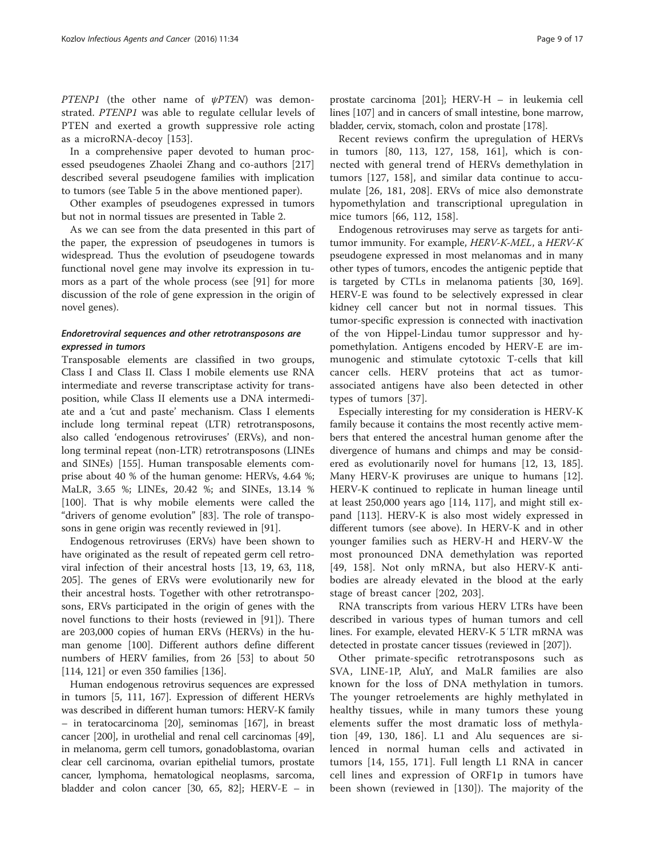PTENP1 (the other name of  $\psi$ PTEN) was demonstrated. PTENP1 was able to regulate cellular levels of PTEN and exerted a growth suppressive role acting as a microRNA-decoy [\[153\]](#page-15-0).

In a comprehensive paper devoted to human processed pseudogenes Zhaolei Zhang and co-authors [[217](#page-16-0)] described several pseudogene families with implication to tumors (see Table 5 in the above mentioned paper).

Other examples of pseudogenes expressed in tumors but not in normal tissues are presented in Table [2.](#page-9-0)

As we can see from the data presented in this part of the paper, the expression of pseudogenes in tumors is widespread. Thus the evolution of pseudogene towards functional novel gene may involve its expression in tumors as a part of the whole process (see [[91](#page-14-0)] for more discussion of the role of gene expression in the origin of novel genes).

#### Endoretroviral sequences and other retrotransposons are expressed in tumors

Transposable elements are classified in two groups, Class I and Class II. Class I mobile elements use RNA intermediate and reverse transcriptase activity for transposition, while Class II elements use a DNA intermediate and a 'cut and paste' mechanism. Class I elements include long terminal repeat (LTR) retrotransposons, also called 'endogenous retroviruses' (ERVs), and nonlong terminal repeat (non-LTR) retrotransposons (LINEs and SINEs) [\[155](#page-15-0)]. Human transposable elements comprise about 40 % of the human genome: HERVs, 4.64 %; MaLR, 3.65 %; LINEs, 20.42 %; and SINEs, 13.14 % [[100\]](#page-14-0). That is why mobile elements were called the "drivers of genome evolution" [\[83\]](#page-14-0). The role of transposons in gene origin was recently reviewed in [\[91\]](#page-14-0).

Endogenous retroviruses (ERVs) have been shown to have originated as the result of repeated germ cell retroviral infection of their ancestral hosts [[13](#page-12-0), [19, 63](#page-13-0), [118](#page-14-0), [205](#page-16-0)]. The genes of ERVs were evolutionarily new for their ancestral hosts. Together with other retrotransposons, ERVs participated in the origin of genes with the novel functions to their hosts (reviewed in [[91\]](#page-14-0)). There are 203,000 copies of human ERVs (HERVs) in the human genome [\[100](#page-14-0)]. Different authors define different numbers of HERV families, from 26 [[53\]](#page-13-0) to about 50 [[114, 121](#page-14-0)] or even 350 families [\[136\]](#page-15-0).

Human endogenous retrovirus sequences are expressed in tumors [[5,](#page-12-0) [111,](#page-14-0) [167](#page-15-0)]. Expression of different HERVs was described in different human tumors: HERV-K family – in teratocarcinoma [[20](#page-13-0)], seminomas [\[167\]](#page-15-0), in breast cancer [\[200\]](#page-16-0), in urothelial and renal cell carcinomas [[49](#page-13-0)], in melanoma, germ cell tumors, gonadoblastoma, ovarian clear cell carcinoma, ovarian epithelial tumors, prostate cancer, lymphoma, hematological neoplasms, sarcoma, bladder and colon cancer [[30](#page-13-0), [65,](#page-13-0) [82](#page-14-0)]; HERV-E – in

prostate carcinoma [[201](#page-16-0)]; HERV-H – in leukemia cell lines [[107](#page-14-0)] and in cancers of small intestine, bone marrow, bladder, cervix, stomach, colon and prostate [\[178\]](#page-16-0).

Recent reviews confirm the upregulation of HERVs in tumors [[80, 113](#page-14-0), [127](#page-15-0), [158, 161\]](#page-15-0), which is connected with general trend of HERVs demethylation in tumors [[127](#page-15-0), [158\]](#page-15-0), and similar data continue to accumulate [[26,](#page-13-0) [181](#page-16-0), [208\]](#page-16-0). ERVs of mice also demonstrate hypomethylation and transcriptional upregulation in mice tumors [\[66](#page-13-0), [112,](#page-14-0) [158\]](#page-15-0).

Endogenous retroviruses may serve as targets for antitumor immunity. For example, HERV-K-MEL, a HERV-K pseudogene expressed in most melanomas and in many other types of tumors, encodes the antigenic peptide that is targeted by CTLs in melanoma patients [\[30,](#page-13-0) [169](#page-15-0)]. HERV-E was found to be selectively expressed in clear kidney cell cancer but not in normal tissues. This tumor-specific expression is connected with inactivation of the von Hippel-Lindau tumor suppressor and hypomethylation. Antigens encoded by HERV-E are immunogenic and stimulate cytotoxic T-cells that kill cancer cells. HERV proteins that act as tumorassociated antigens have also been detected in other types of tumors [[37](#page-13-0)].

Especially interesting for my consideration is HERV-K family because it contains the most recently active members that entered the ancestral human genome after the divergence of humans and chimps and may be considered as evolutionarily novel for humans [[12, 13,](#page-12-0) [185](#page-16-0)]. Many HERV-K proviruses are unique to humans [\[12](#page-12-0)]. HERV-K continued to replicate in human lineage until at least 250,000 years ago [[114, 117\]](#page-14-0), and might still expand [[113\]](#page-14-0). HERV-K is also most widely expressed in different tumors (see above). In HERV-K and in other younger families such as HERV-H and HERV-W the most pronounced DNA demethylation was reported [[49,](#page-13-0) [158](#page-15-0)]. Not only mRNA, but also HERV-K antibodies are already elevated in the blood at the early stage of breast cancer [\[202](#page-16-0), [203\]](#page-16-0).

RNA transcripts from various HERV LTRs have been described in various types of human tumors and cell lines. For example, elevated HERV-K 5′LTR mRNA was detected in prostate cancer tissues (reviewed in [[207](#page-16-0)]).

Other primate-specific retrotransposons such as SVA, LINE-1P, AluY, and MaLR families are also known for the loss of DNA methylation in tumors. The younger retroelements are highly methylated in healthy tissues, while in many tumors these young elements suffer the most dramatic loss of methylation [[49](#page-13-0), [130,](#page-15-0) [186\]](#page-16-0). L1 and Alu sequences are silenced in normal human cells and activated in tumors [[14,](#page-12-0) [155, 171\]](#page-15-0). Full length L1 RNA in cancer cell lines and expression of ORF1p in tumors have been shown (reviewed in [[130\]](#page-15-0)). The majority of the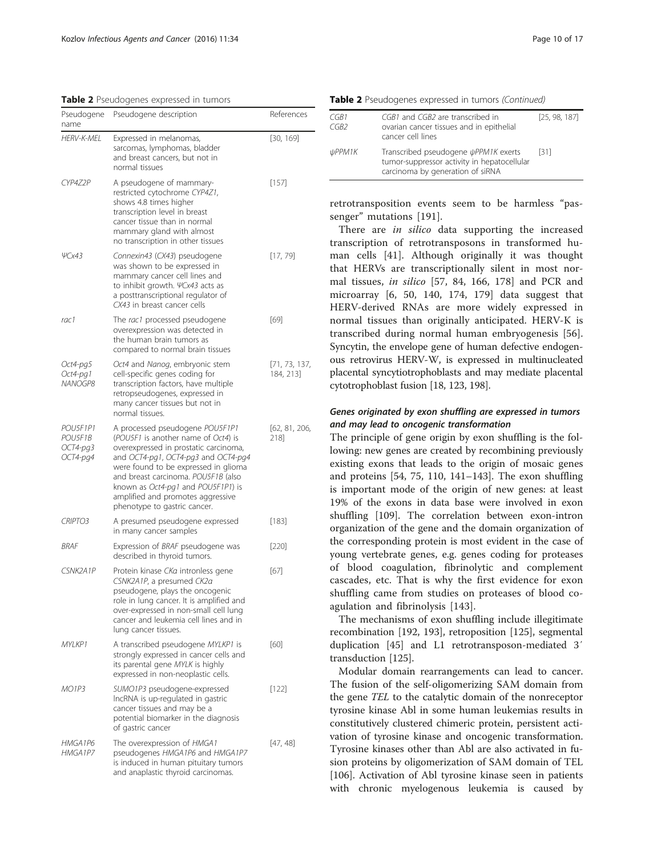<span id="page-9-0"></span>

|  | Table 2 Pseudogenes expressed in tumors |  |  |  |
|--|-----------------------------------------|--|--|--|
|--|-----------------------------------------|--|--|--|

| Pseudogene<br>name                          | Pseudogene description                                                                                                                                                                                                                                                                                                                           | References                 |
|---------------------------------------------|--------------------------------------------------------------------------------------------------------------------------------------------------------------------------------------------------------------------------------------------------------------------------------------------------------------------------------------------------|----------------------------|
| <b>HFRV-K-MFI</b>                           | Expressed in melanomas,<br>sarcomas, lymphomas, bladder<br>and breast cancers, but not in<br>normal tissues                                                                                                                                                                                                                                      | [30, 169]                  |
| CYP4Z2P                                     | A pseudogene of mammary-<br>restricted cytochrome CYP4Z1,<br>shows 4.8 times higher<br>transcription level in breast<br>cancer tissue than in normal<br>mammary gland with almost<br>no transcription in other tissues                                                                                                                           | [157]                      |
| ЧСх43                                       | Connexin43 (CX43) pseudogene<br>was shown to be expressed in<br>mammary cancer cell lines and<br>to inhibit growth. $\frac{\psi C x 43}{2}$ acts as<br>a posttranscriptional regulator of<br>CX43 in breast cancer cells                                                                                                                         | [17, 79]                   |
| rac1                                        | The rac1 processed pseudogene<br>overexpression was detected in<br>the human brain tumors as<br>compared to normal brain tissues                                                                                                                                                                                                                 | [69]                       |
| Oct4-pg5<br>Oct4-pg1<br>NANOGP8             | Oct4 and Nanog, embryonic stem<br>cell-specific genes coding for<br>transcription factors, have multiple<br>retropseudogenes, expressed in<br>many cancer tissues but not in<br>normal tissues.                                                                                                                                                  | [71, 73, 137,<br>184, 213] |
| POU5F1P1<br>POU5F1B<br>OCT4-pg3<br>OCT4-pg4 | A processed pseudogene POU5F1P1<br>(POU5F1 is another name of Oct4) is<br>overexpressed in prostatic carcinoma,<br>and OCT4-pg1, OCT4-pg3 and OCT4-pg4<br>were found to be expressed in glioma<br>and breast carcinoma. POU5F1B (also<br>known as Oct4-pg1 and POU5F1P1) is<br>amplified and promotes aggressive<br>phenotype to gastric cancer. | [62, 81, 206,<br>2181      |
| CRIPTO3                                     | A presumed pseudogene expressed<br>in many cancer samples                                                                                                                                                                                                                                                                                        | $[183]$                    |
| <i>BRAF</i>                                 | Expression of BRAF pseudogene was<br>described in thyroid tumors.                                                                                                                                                                                                                                                                                | [220]                      |
| CSNK2A1P                                    | Protein kinase CKa intronless gene<br>CSNK2A1P, a presumed CK2a<br>pseudogene, plays the oncogenic<br>role in lung cancer. It is amplified and<br>over-expressed in non-small cell lung<br>cancer and leukemia cell lines and in<br>lung cancer tissues.                                                                                         | [67]                       |
| MYLKP1                                      | A transcribed pseudogene MYLKP1 is<br>strongly expressed in cancer cells and<br>its parental gene MYLK is highly<br>expressed in non-neoplastic cells.                                                                                                                                                                                           | [60]                       |
| <b>MO1P3</b>                                | SUMO1P3 pseudogene-expressed<br>IncRNA is up-regulated in gastric<br>cancer tissues and may be a<br>potential biomarker in the diagnosis<br>of gastric cancer                                                                                                                                                                                    | $[122]$                    |
| HMGA1P6<br>HMGA1P7                          | The overexpression of HMGA1<br>pseudogenes HMGA1P6 and HMGA1P7<br>is induced in human pituitary tumors<br>and anaplastic thyroid carcinomas.                                                                                                                                                                                                     | [47, 48]                   |

| Table 2 Pseudogenes expressed in tumors (Continued) |  |  |
|-----------------------------------------------------|--|--|
|                                                     |  |  |

| CGR1<br>CGR2 | CGB1 and CGB2 are transcribed in<br>ovarian cancer tissues and in epithelial<br>cancer cell lines                              | [25, 98, 187] |
|--------------|--------------------------------------------------------------------------------------------------------------------------------|---------------|
| WPPM1K       | Transcribed pseudogene <i>WPPM1K</i> exerts<br>tumor-suppressor activity in hepatocellular<br>carcinoma by generation of siRNA | [31]          |

retrotransposition events seem to be harmless "pas-senger" mutations [\[191](#page-16-0)].

There are *in silico* data supporting the increased transcription of retrotransposons in transformed human cells [[41\]](#page-13-0). Although originally it was thought that HERVs are transcriptionally silent in most normal tissues, in silico [\[57](#page-13-0), [84](#page-14-0), [166](#page-15-0), [178](#page-16-0)] and PCR and microarray [\[6](#page-12-0), [50,](#page-13-0) [140](#page-15-0), [174](#page-15-0), [179\]](#page-16-0) data suggest that HERV-derived RNAs are more widely expressed in normal tissues than originally anticipated. HERV-K is transcribed during normal human embryogenesis [\[56](#page-13-0)]. Syncytin, the envelope gene of human defective endogenous retrovirus HERV-W, is expressed in multinucleated placental syncytiotrophoblasts and may mediate placental cytotrophoblast fusion [\[18,](#page-13-0) [123,](#page-15-0) [198](#page-16-0)].

#### Genes originated by exon shuffling are expressed in tumors and may lead to oncogenic transformation

The principle of gene origin by exon shuffling is the following: new genes are created by recombining previously existing exons that leads to the origin of mosaic genes and proteins [[54](#page-13-0), [75](#page-14-0), [110,](#page-14-0) [141](#page-15-0)–[143\]](#page-15-0). The exon shuffling is important mode of the origin of new genes: at least 19% of the exons in data base were involved in exon shuffling [[109](#page-14-0)]. The correlation between exon-intron organization of the gene and the domain organization of the corresponding protein is most evident in the case of young vertebrate genes, e.g. genes coding for proteases of blood coagulation, fibrinolytic and complement cascades, etc. That is why the first evidence for exon shuffling came from studies on proteases of blood coagulation and fibrinolysis [[143\]](#page-15-0).

The mechanisms of exon shuffling include illegitimate recombination [[192, 193\]](#page-16-0), retroposition [\[125\]](#page-15-0), segmental duplication [\[45\]](#page-13-0) and L1 retrotransposon-mediated 3′ transduction [\[125](#page-15-0)].

Modular domain rearrangements can lead to cancer. The fusion of the self-oligomerizing SAM domain from the gene TEL to the catalytic domain of the nonreceptor tyrosine kinase Abl in some human leukemias results in constitutively clustered chimeric protein, persistent activation of tyrosine kinase and oncogenic transformation. Tyrosine kinases other than Abl are also activated in fusion proteins by oligomerization of SAM domain of TEL [[106\]](#page-14-0). Activation of Abl tyrosine kinase seen in patients with chronic myelogenous leukemia is caused by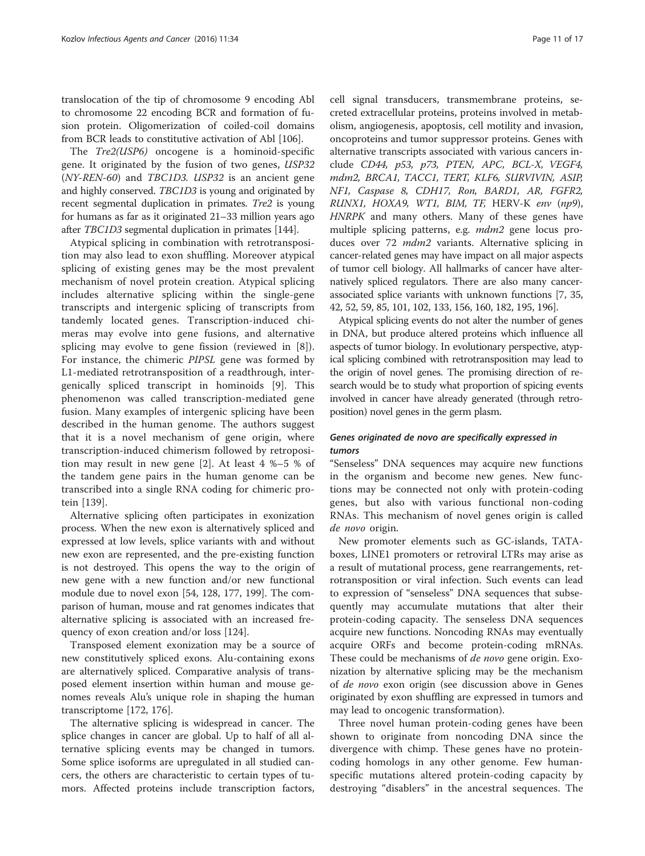translocation of the tip of chromosome 9 encoding Abl to chromosome 22 encoding BCR and formation of fusion protein. Oligomerization of coiled-coil domains from BCR leads to constitutive activation of Abl [\[106](#page-14-0)].

The Tre2(USP6) oncogene is a hominoid-specific gene. It originated by the fusion of two genes, USP32 (NY-REN-60) and TBC1D3. USP32 is an ancient gene and highly conserved. TBC1D3 is young and originated by recent segmental duplication in primates. Tre2 is young for humans as far as it originated 21–33 million years ago after TBC1D3 segmental duplication in primates [\[144\]](#page-15-0).

Atypical splicing in combination with retrotransposition may also lead to exon shuffling. Moreover atypical splicing of existing genes may be the most prevalent mechanism of novel protein creation. Atypical splicing includes alternative splicing within the single-gene transcripts and intergenic splicing of transcripts from tandemly located genes. Transcription-induced chimeras may evolve into gene fusions, and alternative splicing may evolve to gene fission (reviewed in [[8\]](#page-12-0)). For instance, the chimeric PIPSL gene was formed by L1-mediated retrotransposition of a readthrough, intergenically spliced transcript in hominoids [\[9](#page-12-0)]. This phenomenon was called transcription-mediated gene fusion. Many examples of intergenic splicing have been described in the human genome. The authors suggest that it is a novel mechanism of gene origin, where transcription-induced chimerism followed by retroposition may result in new gene [\[2](#page-12-0)]. At least 4 %–5 % of the tandem gene pairs in the human genome can be transcribed into a single RNA coding for chimeric protein [[139\]](#page-15-0).

Alternative splicing often participates in exonization process. When the new exon is alternatively spliced and expressed at low levels, splice variants with and without new exon are represented, and the pre-existing function is not destroyed. This opens the way to the origin of new gene with a new function and/or new functional module due to novel exon [\[54](#page-13-0), [128](#page-15-0), [177](#page-16-0), [199](#page-16-0)]. The comparison of human, mouse and rat genomes indicates that alternative splicing is associated with an increased frequency of exon creation and/or loss [\[124\]](#page-15-0).

Transposed element exonization may be a source of new constitutively spliced exons. Alu-containing exons are alternatively spliced. Comparative analysis of transposed element insertion within human and mouse genomes reveals Alu's unique role in shaping the human transcriptome [[172,](#page-15-0) [176](#page-16-0)].

The alternative splicing is widespread in cancer. The splice changes in cancer are global. Up to half of all alternative splicing events may be changed in tumors. Some splice isoforms are upregulated in all studied cancers, the others are characteristic to certain types of tumors. Affected proteins include transcription factors, cell signal transducers, transmembrane proteins, secreted extracellular proteins, proteins involved in metabolism, angiogenesis, apoptosis, cell motility and invasion, oncoproteins and tumor suppressor proteins. Genes with alternative transcripts associated with various cancers include CD44, p53, p73, PTEN, APC, BCL-X, VEGF4, mdm2, BRCA1, TACC1, TERT, KLF6, SURVIVIN, ASIP, NF1, Caspase 8, CDH17, Ron, BARD1, AR, FGFR2, RUNX1, HOXA9, WT1, BIM, TF, HERV-K env (np9), HNRPK and many others. Many of these genes have multiple splicing patterns, e.g. mdm2 gene locus produces over 72 mdm2 variants. Alternative splicing in cancer-related genes may have impact on all major aspects of tumor cell biology. All hallmarks of cancer have alternatively spliced regulators. There are also many cancerassociated splice variants with unknown functions [\[7](#page-12-0), [35](#page-13-0), [42](#page-13-0), [52, 59](#page-13-0), [85](#page-14-0), [101, 102,](#page-14-0) [133, 156](#page-15-0), [160](#page-15-0), [182](#page-16-0), [195](#page-16-0), [196\]](#page-16-0).

Atypical splicing events do not alter the number of genes in DNA, but produce altered proteins which influence all aspects of tumor biology. In evolutionary perspective, atypical splicing combined with retrotransposition may lead to the origin of novel genes. The promising direction of research would be to study what proportion of spicing events involved in cancer have already generated (through retroposition) novel genes in the germ plasm.

#### Genes originated de novo are specifically expressed in tumors

"Senseless" DNA sequences may acquire new functions in the organism and become new genes. New functions may be connected not only with protein-coding genes, but also with various functional non-coding RNAs. This mechanism of novel genes origin is called de novo origin.

New promoter elements such as GC-islands, TATAboxes, LINE1 promoters or retroviral LTRs may arise as a result of mutational process, gene rearrangements, retrotransposition or viral infection. Such events can lead to expression of "senseless" DNA sequences that subsequently may accumulate mutations that alter their protein-coding capacity. The senseless DNA sequences acquire new functions. Noncoding RNAs may eventually acquire ORFs and become protein-coding mRNAs. These could be mechanisms of *de novo* gene origin. Exonization by alternative splicing may be the mechanism of de novo exon origin (see discussion above in Genes originated by exon shuffling are expressed in tumors and may lead to oncogenic transformation).

Three novel human protein-coding genes have been shown to originate from noncoding DNA since the divergence with chimp. These genes have no proteincoding homologs in any other genome. Few humanspecific mutations altered protein-coding capacity by destroying "disablers" in the ancestral sequences. The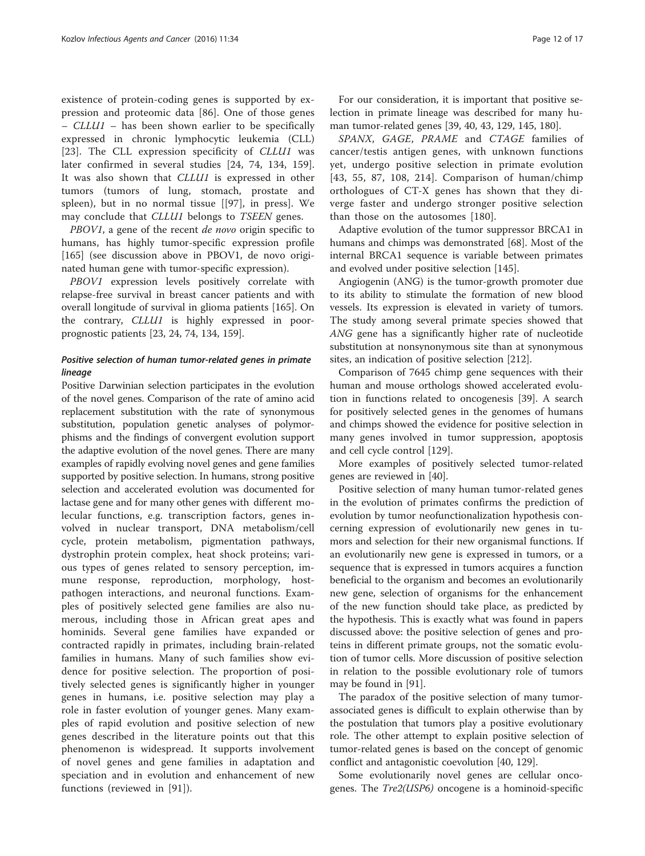existence of protein-coding genes is supported by expression and proteomic data [[86](#page-14-0)]. One of those genes – CLLU1 – has been shown earlier to be specifically expressed in chronic lymphocytic leukemia (CLL) [[23\]](#page-13-0). The CLL expression specificity of CLLU1 was later confirmed in several studies [[24,](#page-13-0) [74](#page-14-0), [134, 159](#page-15-0)]. It was also shown that CLLU1 is expressed in other tumors (tumors of lung, stomach, prostate and spleen), but in no normal tissue [[[97\]](#page-14-0), in press]. We may conclude that CLLU1 belongs to TSEEN genes.

PBOV1, a gene of the recent de novo origin specific to humans, has highly tumor-specific expression profile [[165\]](#page-15-0) (see discussion above in PBOV1, de novo originated human gene with tumor-specific expression).

PBOV1 expression levels positively correlate with relapse-free survival in breast cancer patients and with overall longitude of survival in glioma patients [\[165](#page-15-0)]. On the contrary, CLLU1 is highly expressed in poorprognostic patients [\[23, 24,](#page-13-0) [74,](#page-14-0) [134, 159](#page-15-0)].

# Positive selection of human tumor-related genes in primate lineage

Positive Darwinian selection participates in the evolution of the novel genes. Comparison of the rate of amino acid replacement substitution with the rate of synonymous substitution, population genetic analyses of polymorphisms and the findings of convergent evolution support the adaptive evolution of the novel genes. There are many examples of rapidly evolving novel genes and gene families supported by positive selection. In humans, strong positive selection and accelerated evolution was documented for lactase gene and for many other genes with different molecular functions, e.g. transcription factors, genes involved in nuclear transport, DNA metabolism/cell cycle, protein metabolism, pigmentation pathways, dystrophin protein complex, heat shock proteins; various types of genes related to sensory perception, immune response, reproduction, morphology, hostpathogen interactions, and neuronal functions. Examples of positively selected gene families are also numerous, including those in African great apes and hominids. Several gene families have expanded or contracted rapidly in primates, including brain-related families in humans. Many of such families show evidence for positive selection. The proportion of positively selected genes is significantly higher in younger genes in humans, i.e. positive selection may play a role in faster evolution of younger genes. Many examples of rapid evolution and positive selection of new genes described in the literature points out that this phenomenon is widespread. It supports involvement of novel genes and gene families in adaptation and speciation and in evolution and enhancement of new functions (reviewed in [[91\]](#page-14-0)).

For our consideration, it is important that positive selection in primate lineage was described for many human tumor-related genes [\[39, 40, 43,](#page-13-0) [129](#page-15-0), [145](#page-15-0), [180](#page-16-0)].

SPANX, GAGE, PRAME and CTAGE families of cancer/testis antigen genes, with unknown functions yet, undergo positive selection in primate evolution [[43](#page-13-0), [55,](#page-13-0) [87](#page-14-0), [108,](#page-14-0) [214](#page-16-0)]. Comparison of human/chimp orthologues of CT-X genes has shown that they diverge faster and undergo stronger positive selection than those on the autosomes [[180\]](#page-16-0).

Adaptive evolution of the tumor suppressor BRCA1 in humans and chimps was demonstrated [[68\]](#page-13-0). Most of the internal BRCA1 sequence is variable between primates and evolved under positive selection [[145](#page-15-0)].

Angiogenin (ANG) is the tumor-growth promoter due to its ability to stimulate the formation of new blood vessels. Its expression is elevated in variety of tumors. The study among several primate species showed that ANG gene has a significantly higher rate of nucleotide substitution at nonsynonymous site than at synonymous sites, an indication of positive selection [\[212](#page-16-0)].

Comparison of 7645 chimp gene sequences with their human and mouse orthologs showed accelerated evolution in functions related to oncogenesis [[39](#page-13-0)]. A search for positively selected genes in the genomes of humans and chimps showed the evidence for positive selection in many genes involved in tumor suppression, apoptosis and cell cycle control [\[129](#page-15-0)].

More examples of positively selected tumor-related genes are reviewed in [[40\]](#page-13-0).

Positive selection of many human tumor-related genes in the evolution of primates confirms the prediction of evolution by tumor neofunctionalization hypothesis concerning expression of evolutionarily new genes in tumors and selection for their new organismal functions. If an evolutionarily new gene is expressed in tumors, or a sequence that is expressed in tumors acquires a function beneficial to the organism and becomes an evolutionarily new gene, selection of organisms for the enhancement of the new function should take place, as predicted by the hypothesis. This is exactly what was found in papers discussed above: the positive selection of genes and proteins in different primate groups, not the somatic evolution of tumor cells. More discussion of positive selection in relation to the possible evolutionary role of tumors may be found in [\[91\]](#page-14-0).

The paradox of the positive selection of many tumorassociated genes is difficult to explain otherwise than by the postulation that tumors play a positive evolutionary role. The other attempt to explain positive selection of tumor-related genes is based on the concept of genomic conflict and antagonistic coevolution [[40,](#page-13-0) [129\]](#page-15-0).

Some evolutionarily novel genes are cellular oncogenes. The Tre2(USP6) oncogene is a hominoid-specific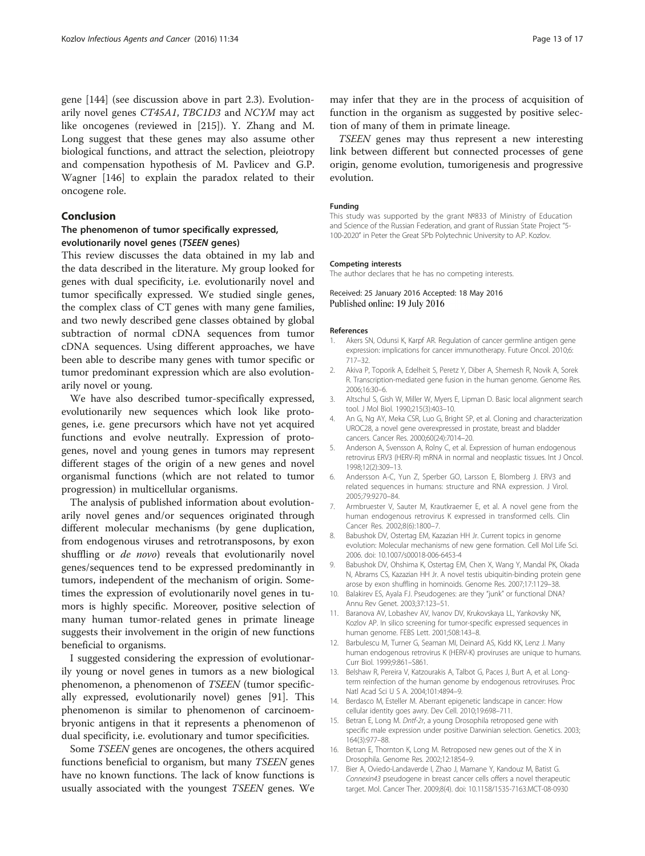<span id="page-12-0"></span>gene [\[144\]](#page-15-0) (see discussion above in part 2.3). Evolutionarily novel genes CT45A1, TBC1D3 and NCYM may act like oncogenes (reviewed in [\[215](#page-16-0)]). Y. Zhang and M. Long suggest that these genes may also assume other biological functions, and attract the selection, pleiotropy and compensation hypothesis of M. Pavlicev and G.P. Wagner [[146](#page-15-0)] to explain the paradox related to their oncogene role.

#### Conclusion

#### The phenomenon of tumor specifically expressed, evolutionarily novel genes (TSEEN genes)

This review discusses the data obtained in my lab and the data described in the literature. My group looked for genes with dual specificity, i.e. evolutionarily novel and tumor specifically expressed. We studied single genes, the complex class of CT genes with many gene families, and two newly described gene classes obtained by global subtraction of normal cDNA sequences from tumor cDNA sequences. Using different approaches, we have been able to describe many genes with tumor specific or tumor predominant expression which are also evolutionarily novel or young.

We have also described tumor-specifically expressed, evolutionarily new sequences which look like protogenes, i.e. gene precursors which have not yet acquired functions and evolve neutrally. Expression of protogenes, novel and young genes in tumors may represent different stages of the origin of a new genes and novel organismal functions (which are not related to tumor progression) in multicellular organisms.

The analysis of published information about evolutionarily novel genes and/or sequences originated through different molecular mechanisms (by gene duplication, from endogenous viruses and retrotransposons, by exon shuffling or de novo) reveals that evolutionarily novel genes/sequences tend to be expressed predominantly in tumors, independent of the mechanism of origin. Sometimes the expression of evolutionarily novel genes in tumors is highly specific. Moreover, positive selection of many human tumor-related genes in primate lineage suggests their involvement in the origin of new functions beneficial to organisms.

I suggested considering the expression of evolutionarily young or novel genes in tumors as a new biological phenomenon, a phenomenon of TSEEN (tumor specifically expressed, evolutionarily novel) genes [[91\]](#page-14-0). This phenomenon is similar to phenomenon of carcinoembryonic antigens in that it represents a phenomenon of dual specificity, i.e. evolutionary and tumor specificities.

Some TSEEN genes are oncogenes, the others acquired functions beneficial to organism, but many TSEEN genes have no known functions. The lack of know functions is usually associated with the youngest TSEEN genes. We

TSEEN genes may thus represent a new interesting link between different but connected processes of gene origin, genome evolution, tumorigenesis and progressive evolution.

#### Funding

This study was supported by the grant №833 of Ministry of Education and Science of the Russian Federation, and grant of Russian State Project "5- 100-2020" in Peter the Great SPb Polytechnic University to A.P. Kozlov.

#### Competing interests

The author declares that he has no competing interests.

#### Received: 25 January 2016 Accepted: 18 May 2016 Published online: 19 July 2016

#### References

- Akers SN, Odunsi K, Karpf AR. Regulation of cancer germline antigen gene expression: implications for cancer immunotherapy. Future Oncol. 2010;6: 717–32.
- 2. Akiva P, Toporik A, Edelheit S, Peretz Y, Diber A, Shemesh R, Novik A, Sorek R. Transcription-mediated gene fusion in the human genome. Genome Res. 2006;16:30–6.
- 3. Altschul S, Gish W, Miller W, Myers E, Lipman D. Basic local alignment search tool. J Mol Biol. 1990;215(3):403–10.
- 4. An G, Ng AY, Meka CSR, Luo G, Bright SP, et al. Cloning and characterization UROC28, a novel gene overexpressed in prostate, breast and bladder cancers. Cancer Res. 2000;60(24):7014–20.
- 5. Anderson A, Svensson A, Rolny C, et al. Expression of human endogenous retrovirus ERV3 (HERV-R) mRNA in normal and neoplastic tissues. Int J Oncol. 1998;12(2):309–13.
- 6. Andersson A-C, Yun Z, Sperber GO, Larsson E, Blomberg J. ERV3 and related sequences in humans: structure and RNA expression. J Virol. 2005;79:9270–84.
- 7. Armbruester V, Sauter M, Krautkraemer E, et al. A novel gene from the human endogenous retrovirus K expressed in transformed cells. Clin Cancer Res. 2002;8(6):1800–7.
- 8. Babushok DV, Ostertag EM, Kazazian HH Jr. Current topics in genome evolution: Molecular mechanisms of new gene formation. Cell Mol Life Sci. 2006. doi: [10.1007/s00018-006-6453-4](http://dx.doi.org/10.1007/s00018-006-6453-4)
- Babushok DV, Ohshima K, Ostertag EM, Chen X, Wang Y, Mandal PK, Okada N, Abrams CS, Kazazian HH Jr. A novel testis ubiquitin-binding protein gene arose by exon shuffling in hominoids. Genome Res. 2007;17:1129–38.
- 10. Balakirev ES, Ayala FJ. Pseudogenes: are they "junk" or functional DNA? Annu Rev Genet. 2003;37:123–51.
- 11. Baranova AV, Lobashev AV, Ivanov DV, Krukovskaya LL, Yankovsky NK, Kozlov AP. In silico screening for tumor-specific expressed sequences in human genome. FEBS Lett. 2001;508:143–8.
- 12. Barbulescu M, Turner G, Seaman MI, Deinard AS, Kidd KK, Lenz J. Many human endogenous retrovirus K (HERV-K) proviruses are unique to humans. Curr Biol. 1999;9:861–S861.
- 13. Belshaw R, Pereira V, Katzourakis A, Talbot G, Paces J, Burt A, et al. Longterm reinfection of the human genome by endogenous retroviruses. Proc Natl Acad Sci U S A. 2004;101:4894–9.
- 14. Berdasco M, Esteller M. Aberrant epigenetic landscape in cancer: How cellular identity goes awry. Dev Cell. 2010;19:698–711.
- 15. Betran E, Long M. Dntf-2r, a young Drosophila retroposed gene with specific male expression under positive Darwinian selection. Genetics. 2003; 164(3):977–88.
- 16. Betran E, Thornton K, Long M. Retroposed new genes out of the X in Drosophila. Genome Res. 2002;12:1854–9.
- 17. Bier A, Oviedo-Landaverde I, Zhao J, Mamane Y, Kandouz M, Batist G. Connexin43 pseudogene in breast cancer cells offers a novel therapeutic target. Mol. Cancer Ther. 2009;8(4). doi: [10.1158/1535-7163.MCT-08-0930](http://dx.doi.org/10.1158/1535-7163.MCT-08-0930)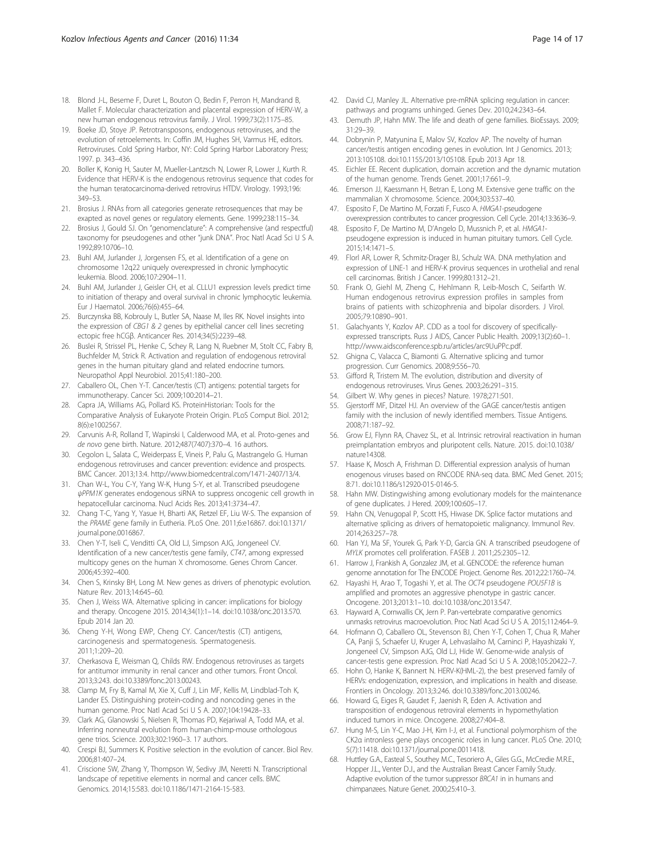- <span id="page-13-0"></span>18. Blond J-L, Beseme F, Duret L, Bouton O, Bedin F, Perron H, Mandrand B, Mallet F. Molecular characterization and placental expression of HERV-W, a new human endogenous retrovirus family. J Virol. 1999;73(2):1175–85.
- 19. Boeke JD, Stoye JP. Retrotransposons, endogenous retroviruses, and the evolution of retroelements. In: Coffin JM, Hughes SH, Varmus HE, editors. Retroviruses. Cold Spring Harbor, NY: Cold Spring Harbor Laboratory Press; 1997. p. 343–436.
- 20. Boller K, Konig H, Sauter M, Mueller-Lantzsch N, Lower R, Lower J, Kurth R. Evidence that HERV-K is the endogenous retrovirus sequence that codes for the human teratocarcinoma-derived retrovirus HTDV. Virology. 1993;196: 349–53.
- 21. Brosius J. RNAs from all categories generate retrosequences that may be exapted as novel genes or regulatory elements. Gene. 1999;238:115–34.
- 22. Brosius J, Gould SJ. On "genomenclature": A comprehensive (and respectful) taxonomy for pseudogenes and other "junk DNA". Proc Natl Acad Sci U S A. 1992;89:10706–10.
- 23. Buhl AM, Jurlander J, Jorgensen FS, et al. Identification of a gene on chromosome 12q22 uniquely overexpressed in chronic lymphocytic leukemia. Blood. 2006;107:2904–11.
- 24. Buhl AM, Jurlander J, Geisler CH, et al. CLLU1 expression levels predict time to initiation of therapy and overal survival in chronic lymphocytic leukemia. Eur J Haematol. 2006;76(6):455–64.
- 25. Burczynska BB, Kobrouly L, Butler SA, Naase M, Iles RK. Novel insights into the expression of CBG1 & 2 genes by epithelial cancer cell lines secreting ectopic free hCGβ. Anticancer Res. 2014;34(5):2239–48.
- 26. Buslei R, Strissel PL, Henke C, Schey R, Lang N, Ruebner M, Stolt CC, Fabry B, Buchfelder M, Strick R. Activation and regulation of endogenous retroviral genes in the human pituitary gland and related endocrine tumors. Neuropathol Appl Neurobiol. 2015;41:180–200.
- 27. Caballero OL, Chen Y-T. Cancer/testis (CT) antigens: potential targets for immunotherapy. Cancer Sci. 2009;100:2014–21.
- 28. Capra JA, Williams AG, Pollard KS. ProteinHistorian: Tools for the Comparative Analysis of Eukaryote Protein Origin. PLoS Comput Biol. 2012; 8(6):e1002567.
- 29. Carvunis A-R, Rolland T, Wapinski I, Calderwood MA, et al. Proto-genes and de novo gene birth. Nature. 2012;487(7407):370–4. 16 authors.
- 30. Cegolon L, Salata C, Weiderpass E, Vineis P, Palu G, Mastrangelo G. Human endogenous retroviruses and cancer prevention: evidence and prospects. BMC Cancer. 2013;13:4.<http://www.biomedcentral.com/1471-2407/13/4>.
- 31. Chan W-L, You C-Y, Yang W-K, Hung S-Y, et al. Transcribed pseudogene ψPPM1K generates endogenous siRNA to suppress oncogenic cell growth in hepatocellular carcinoma. Nucl Acids Res. 2013;41:3734–47.
- 32. Chang T-C, Yang Y, Yasue H, Bharti AK, Retzel EF, Liu W-S. The expansion of the PRAME gene family in Eutheria. PLoS One. 2011;6:e16867. doi:[10.1371/](http://dx.doi.org/10.1371/journal.pone.0016867) [journal.pone.0016867](http://dx.doi.org/10.1371/journal.pone.0016867).
- 33. Chen Y-T, Iseli C, Venditti CA, Old LJ, Simpson AJG, Jongeneel CV. Identification of a new cancer/testis gene family, CT47, among expressed multicopy genes on the human X chromosome. Genes Chrom Cancer. 2006;45:392–400.
- 34. Chen S, Krinsky BH, Long M. New genes as drivers of phenotypic evolution. Nature Rev. 2013;14:645–60.
- 35. Chen J, Weiss WA. Alternative splicing in cancer: implications for biology and therapy. Oncogene 2015. 2014;34(1):1–14. doi:[10.1038/onc.2013.570](http://dx.doi.org/10.1038/onc.2013.570). Epub 2014 Jan 20.
- 36. Cheng Y-H, Wong EWP, Cheng CY. Cancer/testis (CT) antigens, carcinogenesis and spermatogenesis. Spermatogenesis. 2011;1:209–20.
- 37. Cherkasova E, Weisman Q, Childs RW. Endogenous retroviruses as targets for antitumor immunity in renal cancer and other tumors. Front Oncol. 2013;3:243. doi[:10.3389/fonc.2013.00243.](http://dx.doi.org/10.3389/fonc.2013.00243)
- 38. Clamp M, Fry B, Kamal M, Xie X, Cuff J, Lin MF, Kellis M, Lindblad-Toh K, Lander ES. Distinguishing protein-coding and noncoding genes in the human genome. Proc Natl Acad Sci U S A. 2007;104:19428–33.
- 39. Clark AG, Glanowski S, Nielsen R, Thomas PD, Kejariwal A, Todd MA, et al. Inferring nonneutral evolution from human-chimp-mouse orthologous gene trios. Science. 2003;302:1960–3. 17 authors.
- 40. Crespi BJ, Summers K. Positive selection in the evolution of cancer. Biol Rev. 2006;81:407–24.
- 41. Criscione SW, Zhang Y, Thompson W, Sedivy JM, Neretti N. Transcriptional landscape of repetitive elements in normal and cancer cells. BMC Genomics. 2014;15:583. doi[:10.1186/1471-2164-15-583.](http://dx.doi.org/10.1186/1471-2164-15-583)
- 42. David CJ, Manley JL. Alternative pre-mRNA splicing regulation in cancer: pathways and programs unhinged. Genes Dev. 2010;24:2343–64.
- 43. Demuth JP, Hahn MW. The life and death of gene families. BioEssays. 2009; 31:29–39.
- 44. Dobrynin P, Matyunina E, Malov SV, Kozlov AP. The novelty of human cancer/testis antigen encoding genes in evolution. Int J Genomics. 2013; 2013:105108. doi:[10.1155/2013/105108](http://dx.doi.org/10.1155/2013/105108). Epub 2013 Apr 18.
- 45. Eichler EE. Recent duplication, domain accretion and the dynamic mutation of the human genome. Trends Genet. 2001;17:661–9.
- 46. Emerson JJ, Kaessmann H, Betran E, Long M. Extensive gene traffic on the mammalian X chromosome. Science. 2004;303:537–40.
- 47. Esposito F, De Martino M, Forzati F, Fusco A. HMGA1-pseudogene overexpression contributes to cancer progression. Cell Cycle. 2014;13:3636–9.
- 48. Esposito F, De Martino M, D'Angelo D, Mussnich P, et al. HMGA1 pseudogene expression is induced in human pituitary tumors. Cell Cycle. 2015;14:1471–5.
- 49. Florl AR, Lower R, Schmitz-Drager BJ, Schulz WA. DNA methylation and expression of LINE-1 and HERV-K provirus sequences in urothelial and renal cell carcinomas. British J Cancer. 1999;80:1312–21.
- 50. Frank O, Giehl M, Zheng C, Hehlmann R, Leib-Mosch C, Seifarth W. Human endogenous retrovirus expression profiles in samples from brains of patients with schizophrenia and bipolar disorders. J Virol. 2005;79:10890–901.
- 51. Galachyants Y, Kozlov AP. CDD as a tool for discovery of specificallyexpressed transcripts. Russ J AIDS, Cancer Public Health. 2009;13(2):60–1. [http://www.aidsconference.spb.ru/articles/arc9UuPPc.pdf.](http://www.aidsconference.spb.ru/articles/arc9UuPPc.pdf)
- 52. Ghigna C, Valacca C, Biamonti G. Alternative splicing and tumor progression. Curr Genomics. 2008;9:556–70.
- 53. Gifford R, Tristem M. The evolution, distribution and diversity of endogenous retroviruses. Virus Genes. 2003;26:291–315.
- 54. Gilbert W. Why genes in pieces? Nature. 1978;271:501.
- 55. Gjerstorff MF, Ditzel HJ. An overview of the GAGE cancer/testis antigen family with the inclusion of newly identified members. Tissue Antigens. 2008;71:187–92.
- 56. Grow EJ, Flynn RA, Chavez SL, et al. Intrinsic retroviral reactivation in human preimplantation embryos and pluripotent cells. Nature. 2015. doi[:10.1038/](http://dx.doi.org/10.1038/nature14308) [nature14308](http://dx.doi.org/10.1038/nature14308).
- 57. Haase K, Mosch A, Frishman D. Differential expression analysis of human enogenous viruses based on RNCODE RNA-seq data. BMC Med Genet. 2015; 8:71. doi:[10.1186/s12920-015-0146-5](http://dx.doi.org/10.1186/s12920-015-0146-5).
- 58. Hahn MW. Distingwishing among evolutionary models for the maintenance of gene duplicates. J Hered. 2009;100:605–17.
- 59. Hahn CN, Venugopal P, Scott HS, Hiwase DK. Splice factor mutations and alternative splicing as drivers of hematopoietic malignancy. Immunol Rev. 2014;263:257–78.
- 60. Han YJ, Ma SF, Yourek G, Park Y-D, Garcia GN. A transcribed pseudogene of MYLK promotes cell proliferation. FASEB J. 2011;25:2305–12.
- 61. Harrow J, Frankish A, Gonzalez JM, et al. GENCODE: the reference human genome annotation for The ENCODE Project. Genome Res. 2012;22:1760–74.
- 62. Hayashi H, Arao T, Togashi Y, et al. The OCT4 pseudogene POU5F1B is amplified and promotes an aggressive phenotype in gastric cancer. Oncogene. 2013;2013:1–10. doi[:10.1038/onc.2013.547](http://dx.doi.org/10.1038/onc.2013.547).
- 63. Hayward A, Cornwallis CK, Jern P. Pan-vertebrate comparative genomics unmasks retrovirus macroevolution. Proc Natl Acad Sci U S A. 2015;112:464–9.
- 64. Hofmann O, Caballero OL, Stevenson BJ, Chen Y-T, Cohen T, Chua R, Maher CA, Panji S, Schaefer U, Kruger A, Lehvaslaiho M, Carninci P, Hayashizaki Y, Jongeneel CV, Simpson AJG, Old LJ, Hide W. Genome-wide analysis of cancer-testis gene expression. Proc Natl Acad Sci U S A. 2008;105:20422–7.
- 65. Hohn O, Hanke K, Bannert N. HERV-K(HML-2), the best preserved family of HERVs: endogenization, expression, and implications in health and disease. Frontiers in Oncology. 2013;3:246. doi[:10.3389/fonc.2013.00246.](http://dx.doi.org/10.3389/fonc.2013.00246)
- 66. Howard G, Eiges R, Gaudet F, Jaenish R, Eden A. Activation and transposition of endogenous retroviral elements in hypomethylation induced tumors in mice. Oncogene. 2008;27:404–8.
- 67. Hung M-S, Lin Y-C, Mao J-H, Kim I-J, et al. Functional polymorphism of the CK2α intronless gene plays oncogenic roles in lung cancer. PLoS One. 2010; 5(7):11418. doi[:10.1371/journal.pone.0011418.](http://dx.doi.org/10.1371/journal.pone.0011418)
- 68. Huttley G.A., Easteal S., Southey M.C., Tesoriero A., Giles G.G., McCredie M.R.E., Hopper J.L., Venter D.J., and the Australian Breast Cancer Family Study. Adaptive evolution of the tumor suppressor BRCA1 in in humans and chimpanzees. Nature Genet. 2000;25:410–3.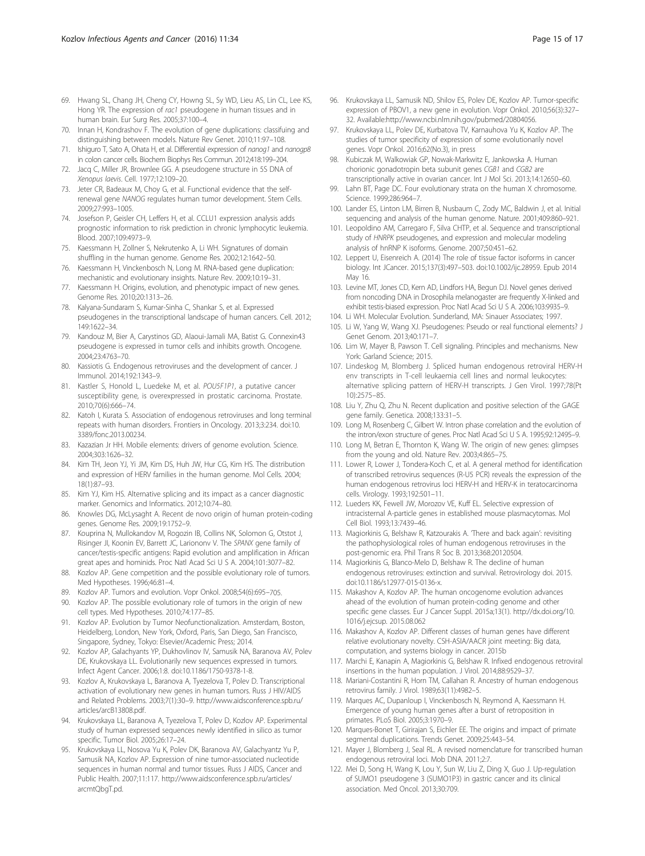- <span id="page-14-0"></span>69. Hwang SL, Chang JH, Cheng CY, Howng SL, Sy WD, Lieu AS, Lin CL, Lee KS, Hong YR. The expression of rac1 pseudogene in human tissues and in human brain. Eur Surg Res. 2005;37:100–4.
- 70. Innan H, Kondrashov F. The evolution of gene duplications: classifuing and distinguishing between models. Nature Rev Genet. 2010;11:97–108.
- 71. Ishiguro T, Sato A, Ohata H, et al. Differential expression of nanog1 and nanogp8 in colon cancer cells. Biochem Biophys Res Commun. 2012;418:199–204.
- 72. Jacq C, Miller JR, Brownlee GG. A pseudogene structure in 5S DNA of Xenopus laevis. Cell. 1977;12:109–20.
- 73. Jeter CR, Badeaux M, Choy G, et al. Functional evidence that the selfrenewal gene NANOG regulates human tumor development. Stem Cells. 2009;27:993–1005.
- 74. Josefson P, Geisler CH, Leffers H, et al. CCLU1 expression analysis adds prognostic information to risk prediction in chronic lymphocytic leukemia. Blood. 2007;109:4973–9.
- 75. Kaessmann H, Zollner S, Nekrutenko A, Li WH. Signatures of domain shuffling in the human genome. Genome Res. 2002;12:1642–50.
- 76. Kaessmann H, Vinckenbosch N, Long M. RNA-based gene duplication: mechanistic and evolutionary insights. Nature Rev. 2009;10:19–31.
- 77. Kaessmann H. Origins, evolution, and phenotypic impact of new genes. Genome Res. 2010;20:1313–26.
- 78. Kalyana-Sundaram S, Kumar-Sinha C, Shankar S, et al. Expressed pseudogenes in the transcriptional landscape of human cancers. Cell. 2012; 149:1622–34.
- 79. Kandouz M, Bier A, Carystinos GD, Alaoui-Jamali MA, Batist G. Connexin43 pseudogene is expressed in tumor cells and inhibits growth. Oncogene. 2004;23:4763–70.
- 80. Kassiotis G. Endogenous retroviruses and the development of cancer. J Immunol. 2014;192:1343–9.
- 81. Kastler S, Honold L, Luedeke M, et al. POU5F1P1, a putative cancer susceptibility gene, is overexpressed in prostatic carcinoma. Prostate. 2010;70(6):666–74.
- 82. Katoh I, Kurata S. Association of endogenous retroviruses and long terminal repeats with human disorders. Frontiers in Oncology. 2013;3:234. doi[:10.](http://dx.doi.org/10.3389/fonc.2013.00234) [3389/fonc.2013.00234](http://dx.doi.org/10.3389/fonc.2013.00234).
- 83. Kazazian Jr HH. Mobile elements: drivers of genome evolution. Science. 2004;303:1626–32.
- 84. Kim TH, Jeon YJ, Yi JM, Kim DS, Huh JW, Hur CG, Kim HS. The distribution and expression of HERV families in the human genome. Mol Cells. 2004; 18(1):87–93.
- 85. Kim YJ, Kim HS. Alternative splicing and its impact as a cancer diagnostic marker. Genomics and Informatics. 2012;10:74–80.
- 86. Knowles DG, McLysaght A. Recent de novo origin of human protein-coding genes. Genome Res. 2009;19:1752–9.
- 87. Kouprina N, Mullokandov M, Rogozin IB, Collins NK, Solomon G, Otstot J, Risinger JI, Koonin EV, Barrett JC, Lariononv V. The SPANX gene family of cancer/testis-specific antigens: Rapid evolution and amplification in African great apes and hominids. Proc Natl Acad Sci U S A. 2004;101:3077–82.
- 88. Kozlov AP. Gene competition and the possible evolutionary role of tumors. Med Hypotheses. 1996;46:81–4.
- 89. Kozlov AP. Tumors and evolution. Vopr Onkol. 2008;54(6):695–705.
- 90. Kozlov AP. The possible evolutionary role of tumors in the origin of new cell types. Med Hypotheses. 2010;74:177–85.
- 91. Kozlov AP. Evolution by Tumor Neofunctionalization. Amsterdam, Boston, Heidelberg, London, New York, Oxford, Paris, San Diego, San Francisco, Singapore, Sydney, Tokyo: Elsevier/Academic Press; 2014.
- 92. Kozlov AP, Galachyants YP, Dukhovlinov IV, Samusik NA, Baranova AV, Polev DE, Krukovskaya LL. Evolutionarily new sequences expressed in tumors. Infect Agent Cancer. 2006;1:8. doi:[10.1186/1750-9378-1-8.](http://dx.doi.org/10.1186/1750-9378-1-8)
- 93. Kozlov A, Krukovskaya L, Baranova A, Tyezelova T, Polev D. Transcriptional activation of evolutionary new genes in human tumors. Russ J HIV/AIDS and Related Problems. 2003;7(1):30–9. [http://www.aidsconference.spb.ru/](http://www.aidsconference.spb.ru/articles/arcB13808.pdf) [articles/arcB13808.pdf](http://www.aidsconference.spb.ru/articles/arcB13808.pdf).
- 94. Krukovskaya LL, Baranova A, Tyezelova T, Polev D, Kozlov AP. Experimental study of human expressed sequences newly identified in silico as tumor specific. Tumor Biol. 2005;26:17–24.
- 95. Krukovskaya LL, Nosova Yu K, Polev DK, Baranova AV, Galachyantz Yu P, Samusik NA, Kozlov AP. Expression of nine tumor-associated nucleotide sequences in human normal and tumor tissues. Russ J AIDS, Cancer and Public Health. 2007;11:117. [http://www.aidsconference.spb.ru/articles/](http://www.aidsconference.spb.ru/articles/arcmtQbgT.pd) [arcmtQbgT.pd.](http://www.aidsconference.spb.ru/articles/arcmtQbgT.pd)
- 96. Krukovskaya LL, Samusik ND, Shilov ES, Polev DE, Kozlov AP. Tumor-specific expression of PBOV1, a new gene in evolution. Vopr Onkol. 2010;56(3):327– 32. Available[:http://www.ncbi.nlm.nih.gov/pubmed/20804056](http://www.ncbi.nlm.nih.gov/pubmed/20804056).
- 97. Krukovskaya LL, Polev DE, Kurbatova TV, Karnauhova Yu K, Kozlov AP. The studies of tumor specificity of expression of some evolutionarily novel genes. Vopr Onkol. 2016;62(No.3), in press
- 98. Kubiczak M, Walkowiak GP, Nowak-Markwitz E, Jankowska A. Human chorionic gonadotropin beta subunit genes CGB1 and CGB2 are transcriptionally active in ovarian cancer. Int J Mol Sci. 2013;14:12650–60.
- 99. Lahn BT, Page DC. Four evolutionary strata on the human X chromosome. Science. 1999;286:964–7.
- 100. Lander ES, Linton LM, Birren B, Nusbaum C, Zody MC, Baldwin J, et al. Initial sequencing and analysis of the human genome. Nature. 2001;409:860–921.
- 101. Leopoldino AM, Carregaro F, Silva CHTP, et al. Sequence and transcriptional study of HNRPK pseudogenes, and expression and molecular modeling analysis of hnRNP K isoforms. Genome. 2007;50:451–62.
- 102. Leppert U, Eisenreich A. (2014) The role of tissue factor isoforms in cancer biology. Int JCancer. 2015;137(3):497–503. doi[:10.1002/ijc.28959.](http://dx.doi.org/10.1002/ijc.28959) Epub 2014 May 16.
- 103. Levine MT, Jones CD, Kern AD, Lindfors HA, Begun DJ. Novel genes derived from noncoding DNA in Drosophila melanogaster are frequently X-linked and exhibit testis-biased expression. Proc Natl Acad Sci U S A. 2006;103:9935–9.
- 104. Li WH. Molecular Evolution. Sunderland, MA: Sinauer Associates; 1997.
- 105. Li W, Yang W, Wang XJ. Pseudogenes: Pseudo or real functional elements? J Genet Genom. 2013;40:171–7.
- 106. Lim W, Mayer B, Pawson T. Cell signaling. Principles and mechanisms. New York: Garland Science; 2015.
- 107. Lindeskog M, Blomberg J. Spliced human endogenous retroviral HERV-H env transcripts in T-cell leukaemia cell lines and normal leukocytes: alternative splicing pattern of HERV-H transcripts. J Gen Virol. 1997;78(Pt 10):2575–85.
- 108. Liu Y, Zhu Q, Zhu N. Recent duplication and positive selection of the GAGE gene family. Genetica. 2008;133:31–5.
- 109. Long M, Rosenberg C, Gilbert W. Intron phase correlation and the evolution of the intron/exon structure of genes. Proc Natl Acad Sci U S A. 1995;92:12495–9.
- 110. Long M, Betran E, Thornton K, Wang W. The origin of new genes: glimpses from the young and old. Nature Rev. 2003;4:865–75.
- 111. Lower R, Lower J, Tondera-Koch C, et al. A general method for identification of transcribed retrovirus sequences (R-U5 PCR) reveals the expression of the human endogenous retrovirus loci HERV-H and HERV-K in teratocarcinoma cells. Virology. 1993;192:501–11.
- 112. Lueders KK, Fewell JW, Morozov VE, Kuff EL. Selective expression of intracisternal A-particle genes in established mouse plasmacytomas. Mol Cell Biol. 1993;13:7439–46.
- 113. Magiorkinis G, Belshaw R, Katzourakis A. 'There and back again': revisiting the pathophysiological roles of human endogenous retroviruses in the post-genomic era. Phil Trans R Soc B. 2013;368:20120504.
- 114. Magiorkinis G, Blanco-Melo D, Belshaw R. The decline of human endogenous retroviruses: extinction and survival. Retrovirology doi. 2015. doi[:10.1186/s12977-015-0136-x.](http://dx.doi.org/10.1186/s12977-015-0136-x)
- 115. Makashov A, Kozlov AP. The human oncogenome evolution advances ahead of the evolution of human protein-coding genome and other specific gene classes. Eur J Cancer Suppl. 2015a;13(1). [http://dx.doi.org/10.](http://dx.doi.org/10.1016/j.ejcsup) [1016/j.ejcsup.](http://dx.doi.org/10.1016/j.ejcsup) 2015.08.062
- 116. Makashov A, Kozlov AP. Different classes of human genes have different relative evolutionary novelty. CSH-ASIA/AACR joint meeting: Big data, computation, and systems biology in cancer. 2015b
- 117. Marchi E, Kanapin A, Magiorkinis G, Belshaw R. Infixed endogenous retroviral insertions in the human population. J Virol. 2014;88:9529–37.
- 118. Mariani-Costantini R, Horn TM, Callahan R. Ancestry of human endogenous retrovirus family. J Virol. 1989;63(11):4982–5.
- 119. Marques AC, Dupanloup I, Vinckenbosch N, Reymond A, Kaessmann H. Emergence of young human genes after a burst of retroposition in primates. PLoS Biol. 2005;3:1970–9.
- 120. Marques-Bonet T, Girirajan S, Eichler EE. The origins and impact of primate segmental duplications. Trends Genet. 2009;25:443–54.
- 121. Mayer J, Blomberg J, Seal RL. A revised nomenclature for transcribed human endogenous retroviral loci. Mob DNA. 2011;2:7.
- 122. Mei D, Song H, Wang K, Lou Y, Sun W, Liu Z, Ding X, Guo J. Up-regulation of SUMO1 pseudogene 3 (SUMO1P3) in gastric cancer and its clinical association. Med Oncol. 2013;30:709.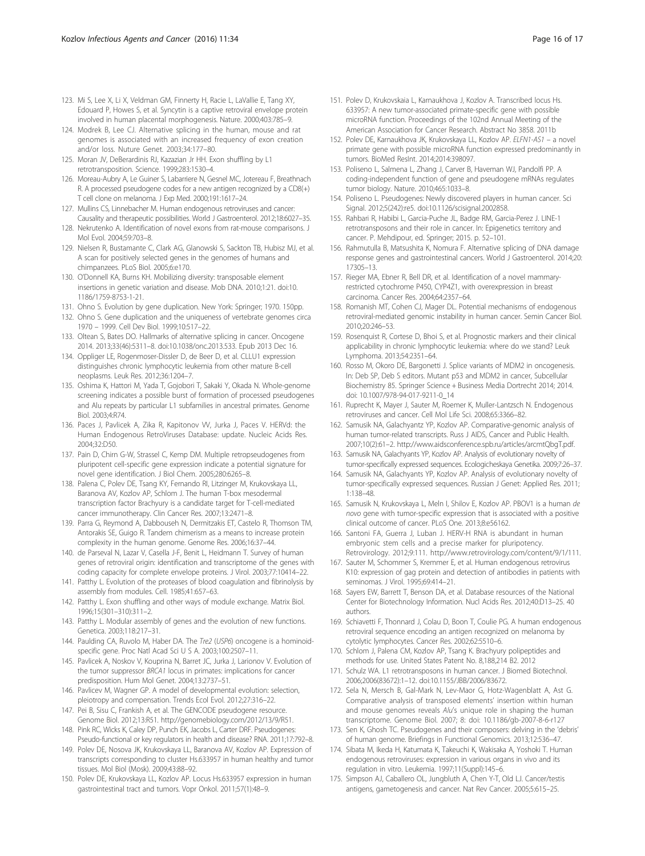- <span id="page-15-0"></span>123. Mi S, Lee X, Li X, Veldman GM, Finnerty H, Racie L, LaVallie E, Tang XY, Edouard P, Howes S, et al. Syncytin is a captive retroviral envelope protein involved in human placental morphogenesis. Nature. 2000;403:785–9.
- 124. Modrek B, Lee CJ. Alternative splicing in the human, mouse and rat genomes is associated with an increased frequency of exon creation and/or loss. Nuture Genet. 2003;34:177–80.
- 125. Moran JV, DeBerardinis RJ, Kazazian Jr HH. Exon shuffling by L1 retrotransposition. Science. 1999;283:1530–4.
- 126. Moreau-Aubry A, Le Guiner S, Labarriere N, Gesnel MC, Jotereau F, Breathnach R. A processed pseudogene codes for a new antigen recognized by a CD8(+) T cell clone on melanoma. J Exp Med. 2000;191:1617–24.
- 127. Mullins CS, Linnebacher M. Human endogenous retroviruses and cancer: Causality and therapeutic possibilities. World J Gastroenterol. 2012;18:6027–35.
- 128. Nekrutenko A. Identification of novel exons from rat-mouse comparisons. J Mol Evol. 2004;59:703–8.
- 129. Nielsen R, Bustamante C, Clark AG, Glanowski S, Sackton TB, Hubisz MJ, et al. A scan for positively selected genes in the genomes of humans and chimpanzees. PLoS Biol. 2005;6:e170.
- 130. O'Donnell KA, Burns KH. Mobilizing diversity: transposable element insertions in genetic variation and disease. Mob DNA. 2010;1:21. doi:[10.](http://dx.doi.org/10.1186/1759-8753-1-21) [1186/1759-8753-1-21.](http://dx.doi.org/10.1186/1759-8753-1-21)
- 131. Ohno S. Evolution by gene duplication. New York: Springer; 1970. 150pp.
- 132. Ohno S. Gene duplication and the uniqueness of vertebrate genomes circa 1970 – 1999. Cell Dev Biol. 1999;10:517–22.
- 133. Oltean S, Bates DO. Hallmarks of alternative splicing in cancer. Oncogene 2014. 2013;33(46):5311–8. doi[:10.1038/onc.2013.533](http://dx.doi.org/10.1038/onc.2013.533). Epub 2013 Dec 16.
- 134. Oppliger LE, Rogenmoser-Dissler D, de Beer D, et al. CLLU1 expression distinguishes chronic lymphocytic leukemia from other mature B-cell neoplasms. Leuk Res. 2012;36:1204–7.
- 135. Oshima K, Hattori M, Yada T, Gojobori T, Sakaki Y, Okada N. Whole-genome screening indicates a possible burst of formation of processed pseudogenes and Alu repeats by particular L1 subfamilies in ancestral primates. Genome Biol. 2003;4:R74.
- 136. Paces J, Pavlicek A, Zika R, Kapitonov VV, Jurka J, Paces V. HERVd: the Human Endogenous RetroViruses Database: update. Nucleic Acids Res. 2004;32:D50.
- 137. Pain D, Chirn G-W, Strassel C, Kemp DM. Multiple retropseudogenes from pluripotent cell-specific gene expression indicate a potential signature for novel gene identification. J Biol Chem. 2005;280:6265–8.
- 138. Palena C, Polev DE, Tsang KY, Fernando RI, Litzinger M, Krukovskaya LL, Baranova AV, Kozlov AP, Schlom J. The human T-box mesodermal transcription factor Brachyury is a candidate target for T-cell-mediated cancer immunotherapy. Clin Cancer Res. 2007;13:2471–8.
- 139. Parra G, Reymond A, Dabbouseh N, Dermitzakis ET, Castelo R, Thomson TM, Antorakis SE, Guigo R. Tandem chimerism as a means to increase protein complexity in the human genome. Genome Res. 2006;16:37–44.
- 140. de Parseval N, Lazar V, Casella J-F, Benit L, Heidmann T. Survey of human genes of retroviral origin: identification and transcriptome of the genes with coding capacity for complete envelope proteins. J Virol. 2003;77:10414–22.
- 141. Patthy L. Evolution of the proteases of blood coagulation and fibrinolysis by assembly from modules. Cell. 1985;41:657–63.
- 142. Patthy L. Exon shuffling and other ways of module exchange. Matrix Biol. 1996;15(301–310):311–2.
- 143. Patthy L. Modular assembly of genes and the evolution of new functions. Genetica. 2003;118:217–31.
- 144. Paulding CA, Ruvolo M, Haber DA. The Tre2 (USP6) oncogene is a hominoidspecific gene. Proc Natl Acad Sci U S A. 2003;100:2507–11.
- 145. Pavlicek A, Noskov V, Kouprina N, Barret JC, Jurka J, Larionov V. Evolution of the tumor suppressor BRCA1 locus in primates: implications for cancer predisposition. Hum Mol Genet. 2004;13:2737–51.
- 146. Pavlicev M, Wagner GP. A model of developmental evolution: selection, pleiotropy and compensation. Trends Ecol Evol. 2012;27:316–22.
- 147. Pei B, Sisu C, Frankish A, et al. The GENCODE pseudogene resource. Genome Biol. 2012;13:R51. [http://genomebiology.com/2012/13/9/R51.](http://genomebiology.com/2012/13/9/R51)
- 148. Pink RC, Wicks K, Caley DP, Punch EK, Jacobs L, Carter DRF. Pseudogenes: Pseudo-functional or key regulators in health and disease? RNA. 2011;17:792–8.
- 149. Polev DE, Nosova JK, Krukovskaya LL, Baranova AV, Kozlov AP. Expression of transcripts corresponding to cluster Hs.633957 in human healthy and tumor tissues. Mol Biol (Mosk). 2009;43:88–92.
- 150. Polev DE, Krukovskaya LL, Kozlov AP. Locus Hs.633957 expression in human gastrointestinal tract and tumors. Vopr Onkol. 2011;57(1):48–9.
- 151. Polev D, Krukovskaia L, Karnaukhova J, Kozlov A. Transcribed locus Hs. 633957: A new tumor-associated primate-specific gene with possible microRNA function. Proceedings of the 102nd Annual Meeting of the American Association for Cancer Research. Abstract No 3858. 2011b
- 152. Polev DE, Karnaukhova JK, Krukovskaya LL, Kozlov AP. ELFN1-AS1 a novel primate gene with possible microRNA function expressed predominantly in tumors. BioMed ResInt. 2014;2014:398097.
- 153. Poliseno L, Salmena L, Zhang J, Carver B, Haveman WJ, Pandolfi PP. A coding-independent function of gene and pseudogene mRNAs regulates tumor biology. Nature. 2010;465:1033–8.
- 154. Poliseno L. Pseudogenes: Newly discovered players in human cancer. Sci Signal. 2012;5(242):re5. doi[:10.1126/scisignal.2002858.](http://dx.doi.org/10.1126/scisignal.2002858)
- 155. Rahbari R, Habibi L, Garcia-Puche JL, Badge RM, Garcia-Perez J. LINE-1 retrotransposons and their role in cancer. In: Epigenetics territory and cancer. P. Mehdipour, ed. Springer; 2015. p. 52–101.
- 156. Rahmutulla B, Matsushita K, Nomura F. Alternative splicing of DNA damage response genes and gastrointestinal cancers. World J Gastroenterol. 2014;20: 17305–13.
- 157. Rieger MA, Ebner R, Bell DR, et al. Identification of a novel mammaryrestricted cytochrome P450, CYP4Z1, with overexpression in breast carcinoma. Cancer Res. 2004;64:2357–64.
- 158. Romanish MT, Cohen CJ, Mager DL. Potential mechanisms of endogenous retroviral-mediated genomic instability in human cancer. Semin Cancer Biol. 2010;20:246–53.
- 159. Rosenquist R, Cortese D, Bhoi S, et al. Prognostic markers and their clinical applicability in chronic lymphocytic leukemia: where do we stand? Leuk Lymphoma. 2013;54:2351–64.
- 160. Rosso M, Okoro DE, Bargonetti J. Splice variants of MDM2 in oncogenesis. In: Deb SP, Deb S editors. Mutant p53 and MDM2 in cancer, Subcellular Biochemistry 85. Springer Science + Business Media Dortrecht 2014; 2014. doi: [10.1007/978-94-017-9211-0\\_14](http://dx.doi.org/10.1007/978-94-017-9211-0_14)
- 161. Ruprecht K, Mayer J, Sauter M, Roemer K, Muller-Lantzsch N. Endogenous retroviruses and cancer. Cell Mol Life Sci. 2008;65:3366–82.
- 162. Samusik NA, Galachyantz YP, Kozlov AP. Comparative-genomic analysis of human tumor-related transcripts. Russ J AIDS, Cancer and Public Health. 2007;10(2):61–2. [http://www.aidsconference.spb.ru/articles/arcmtQbgT.pdf.](http://www.aidsconference.spb.ru/articles/arcmtQbgT.pdf)
- 163. Samusik NA, Galachyants YP, Kozlov AP. Analysis of evolutionary novelty of tumor-specifically expressed sequences. Ecologicheskaya Genetika. 2009;7:26–37.
- 164. Samusik NA, Galachyants YP, Kozlov AP. Analysis of evolutionary novelty of tumor-specifically expressed sequences. Russian J Genet: Applied Res. 2011; 1:138–48.
- 165. Samusik N, Krukovskaya L, Meln I, Shilov E, Kozlov AP. PBOV1 is a human de novo gene with tumor-specific expression that is associated with a positive clinical outcome of cancer. PLoS One. 2013;8:e56162.
- 166. Santoni FA, Guerra J, Luban J. HERV-H RNA is abundant in human embryonic stem cells and a precise marker for pluripotency. Retrovirology. 2012;9:111.<http://www.retrovirology.com/content/9/1/111>.
- 167. Sauter M, Schommer S, Kremmer E, et al. Human endogenous retrovirus K10: expression of gag protein and detection of antibodies in patients with seminomas. J Virol. 1995;69:414–21.
- 168. Sayers EW, Barrett T, Benson DA, et al. Database resources of the National Center for Biotechnology Information. Nucl Acids Res. 2012;40:D13–25. 40 authors.
- 169. Schiavetti F, Thonnard J, Colau D, Boon T, Coulie PG. A human endogenous retroviral sequence encoding an antigen recognized on melanoma by cytolytic lymphocytes. Cancer Res. 2002;62:5510–6.
- 170. Schlom J, Palena CM, Kozlov AP, Tsang K. Brachyury polipeptides and methods for use. United States Patent No. 8,188,214 B2. 2012
- 171. Schulz WA. L1 retrotransposons in human cancer. J Biomed Biotechnol. 2006;2006(83672):1–12. doi:[10.1155/JBB/2006/83672.](http://dx.doi.org/10.1155/JBB/2006/83672)
- 172. Sela N, Mersch B, Gal-Mark N, Lev-Maor G, Hotz-Wagenblatt A, Ast G. Comparative analysis of transposed elements' insertion within human and mouse genomes reveals Alu's unique role in shaping the human transcriptome. Genome Biol. 2007; 8: doi: [10.1186/gb-2007-8-6-r127](http://dx.doi.org/10.1186/gb-2007-8-6-r127)
- 173. Sen K, Ghosh TC. Pseudogenes and their composers: delving in the 'debris' of human genome. Briefings in Functional Genomics. 2013;12:536–47.
- 174. Sibata M, Ikeda H, Katumata K, Takeuchi K, Wakisaka A, Yoshoki T. Human endogenous retroviruses: expression in various organs in vivo and its regulation in vitro. Leukemia. 1997;11(Suppl):145–6.
- 175. Simpson AJ, Caballero OL, Jungbluth A, Chen Y-T, Old LJ. Cancer/testis antigens, gametogenesis and cancer. Nat Rev Cancer. 2005;5:615–25.